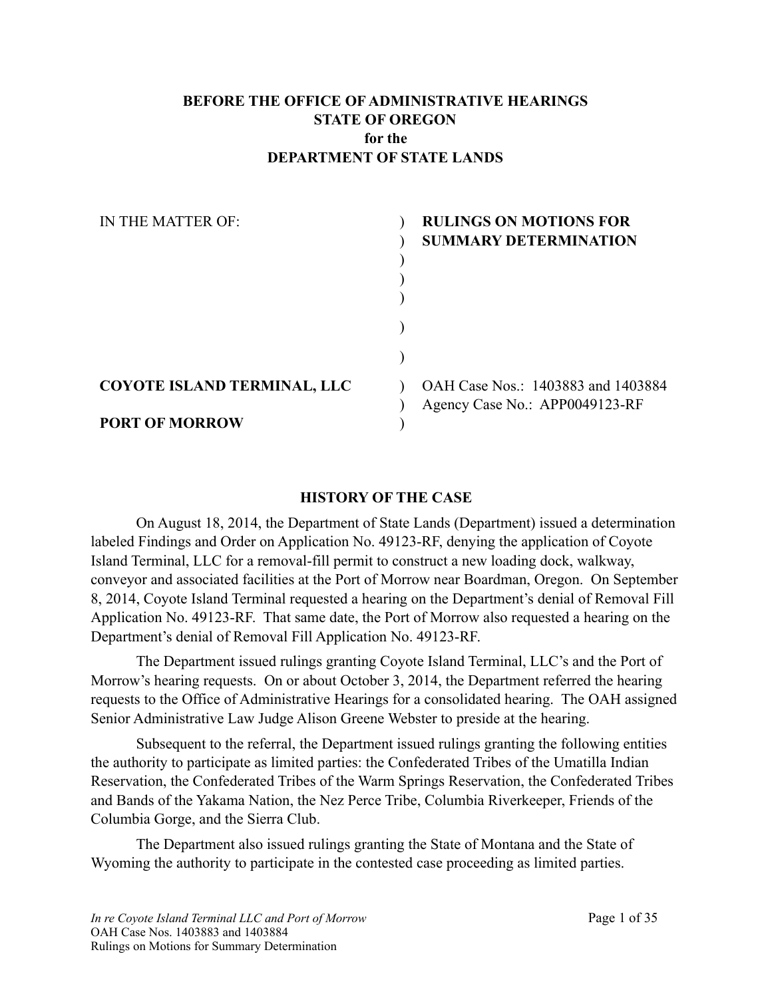#### **BEFORE THE OFFICE OF ADMINISTRATIVE HEARINGS STATE OF OREGON for the DEPARTMENT OF STATE LANDS**

| IN THE MATTER OF:           | <b>RULINGS ON MOTIONS FOR</b>      |
|-----------------------------|------------------------------------|
|                             | <b>SUMMARY DETERMINATION</b>       |
|                             |                                    |
|                             |                                    |
|                             |                                    |
|                             |                                    |
|                             |                                    |
|                             |                                    |
| COYOTE ISLAND TERMINAL, LLC | OAH Case Nos.: 1403883 and 1403884 |
|                             | Agency Case No.: APP0049123-RF     |
| <b>PORT OF MORROW</b>       |                                    |

#### **HISTORY OF THE CASE**

 On August 18, 2014, the Department of State Lands (Department) issued a determination labeled Findings and Order on Application No. 49123-RF, denying the application of Coyote Island Terminal, LLC for a removal-fill permit to construct a new loading dock, walkway, conveyor and associated facilities at the Port of Morrow near Boardman, Oregon. On September 8, 2014, Coyote Island Terminal requested a hearing on the Department's denial of Removal Fill Application No. 49123-RF. That same date, the Port of Morrow also requested a hearing on the Department's denial of Removal Fill Application No. 49123-RF.

 The Department issued rulings granting Coyote Island Terminal, LLC's and the Port of Morrow's hearing requests. On or about October 3, 2014, the Department referred the hearing requests to the Office of Administrative Hearings for a consolidated hearing. The OAH assigned Senior Administrative Law Judge Alison Greene Webster to preside at the hearing.

 Subsequent to the referral, the Department issued rulings granting the following entities the authority to participate as limited parties: the Confederated Tribes of the Umatilla Indian Reservation, the Confederated Tribes of the Warm Springs Reservation, the Confederated Tribes and Bands of the Yakama Nation, the Nez Perce Tribe, Columbia Riverkeeper, Friends of the Columbia Gorge, and the Sierra Club.

 The Department also issued rulings granting the State of Montana and the State of Wyoming the authority to participate in the contested case proceeding as limited parties.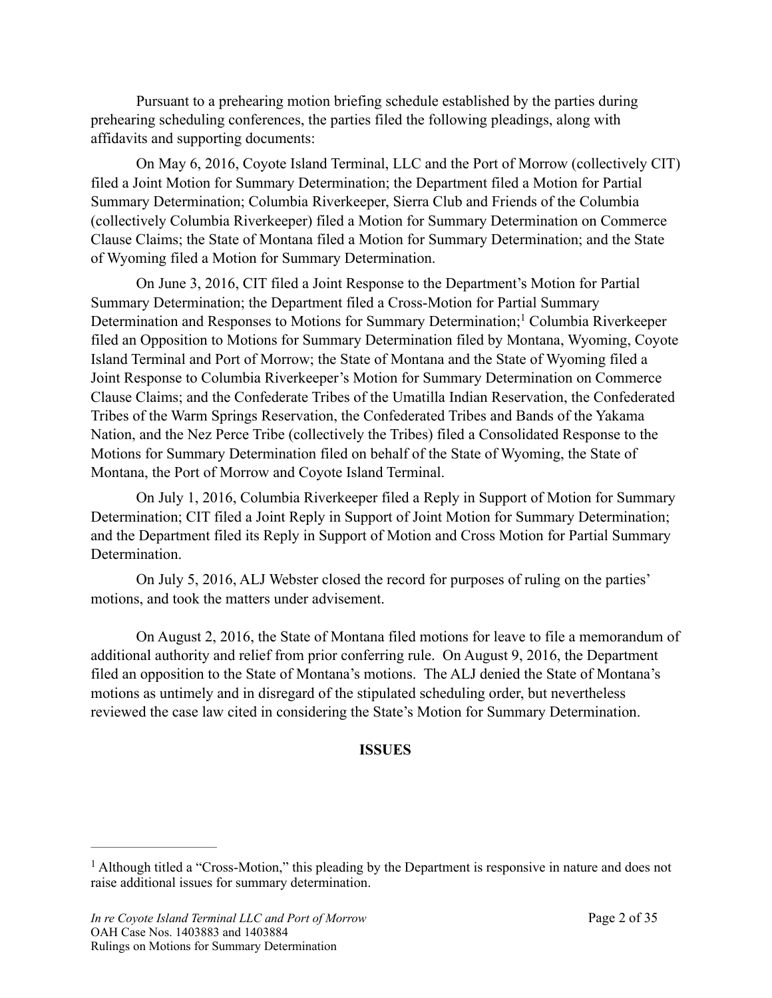Pursuant to a prehearing motion briefing schedule established by the parties during prehearing scheduling conferences, the parties filed the following pleadings, along with affidavits and supporting documents:

 On May 6, 2016, Coyote Island Terminal, LLC and the Port of Morrow (collectively CIT) filed a Joint Motion for Summary Determination; the Department filed a Motion for Partial Summary Determination; Columbia Riverkeeper, Sierra Club and Friends of the Columbia (collectively Columbia Riverkeeper) filed a Motion for Summary Determination on Commerce Clause Claims; the State of Montana filed a Motion for Summary Determination; and the State of Wyoming filed a Motion for Summary Determination.

<span id="page-1-1"></span> On June 3, 2016, CIT filed a Joint Response to the Department's Motion for Partial Summary Determination; the Department filed a Cross-Motion for Partial Summary Determinationand Responses to Motions for Summary Determination;<sup>[1](#page-1-0)</sup> Columbia Riverkeeper filed an Opposition to Motions for Summary Determination filed by Montana, Wyoming, Coyote Island Terminal and Port of Morrow; the State of Montana and the State of Wyoming filed a Joint Response to Columbia Riverkeeper's Motion for Summary Determination on Commerce Clause Claims; and the Confederate Tribes of the Umatilla Indian Reservation, the Confederated Tribes of the Warm Springs Reservation, the Confederated Tribes and Bands of the Yakama Nation, and the Nez Perce Tribe (collectively the Tribes) filed a Consolidated Response to the Motions for Summary Determination filed on behalf of the State of Wyoming, the State of Montana, the Port of Morrow and Coyote Island Terminal.

 On July 1, 2016, Columbia Riverkeeper filed a Reply in Support of Motion for Summary Determination; CIT filed a Joint Reply in Support of Joint Motion for Summary Determination; and the Department filed its Reply in Support of Motion and Cross Motion for Partial Summary Determination.

 On July 5, 2016, ALJ Webster closed the record for purposes of ruling on the parties' motions, and took the matters under advisement.

 On August 2, 2016, the State of Montana filed motions for leave to file a memorandum of additional authority and relief from prior conferring rule. On August 9, 2016, the Department filed an opposition to the State of Montana's motions. The ALJ denied the State of Montana's motions as untimely and in disregard of the stipulated scheduling order, but nevertheless reviewed the case law cited in considering the State's Motion for Summary Determination.

#### **ISSUES**

<span id="page-1-0"></span><sup>&</sup>lt;sup>[1](#page-1-1)</sup> Although titled a "Cross-Motion," this pleading by the Department is responsive in nature and does not raise additional issues for summary determination.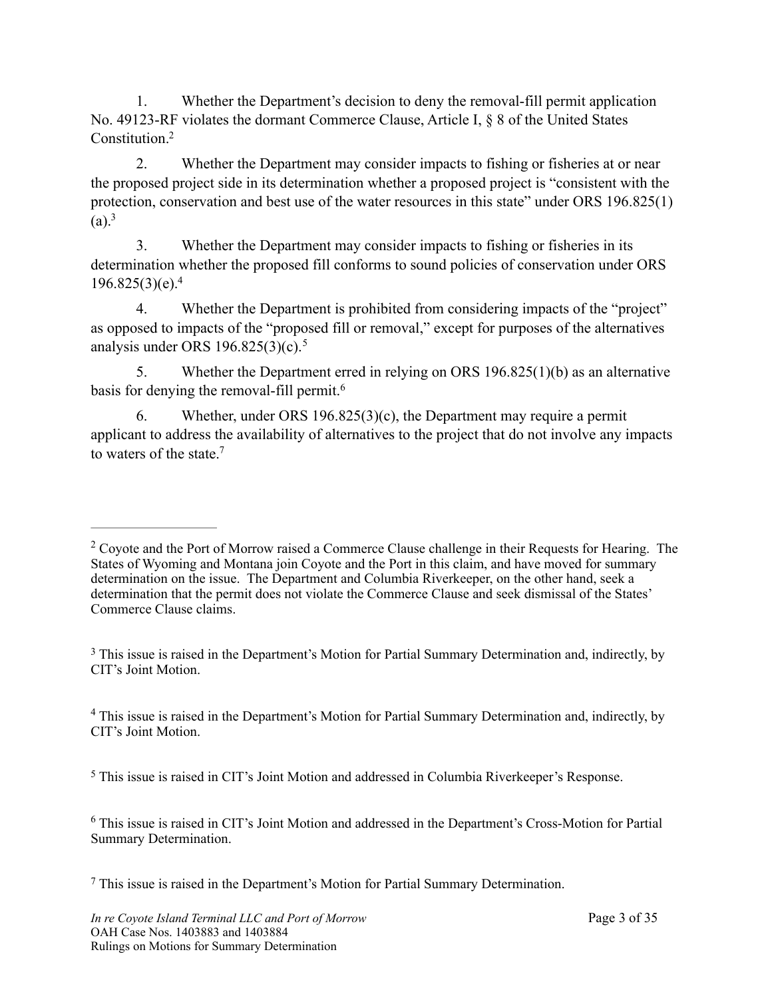1. Whether the Department's decision to deny the removal-fill permit application No. 49123-RF violates the dormant Commerce Clause, Article I, § 8 of the United States Constitution[.2](#page-2-0)

<span id="page-2-6"></span> 2. Whether the Department may consider impacts to fishing or fisheries at or near the proposed project side in its determination whether a proposed project is "consistent with the protection, conservation and best use of the water resources in this state" under ORS 196.825(1)  $(a)$ <sup>3</sup>

<span id="page-2-7"></span> 3. Whether the Department may consider impacts to fishing or fisheries in its determination whether the proposed fill conforms to sound policies of conservation under ORS  $196.825(3)(e).<sup>4</sup>$ 

<span id="page-2-8"></span> 4. Whether the Department is prohibited from considering impacts of the "project" as opposed to impacts of the "proposed fill or removal," except for purposes of the alternatives analysis under ORS 196.82[5](#page-2-3)(3)(c).<sup>5</sup>

<span id="page-2-9"></span> 5. Whether the Department erred in relying on ORS 196.825(1)(b) as an alternative basis for denying the removal-fill permit.<sup>[6](#page-2-4)</sup>

<span id="page-2-11"></span><span id="page-2-10"></span> 6. Whether, under ORS 196.825(3)(c), the Department may require a permit applicant to address the availability of alternatives to the project that do not involve any impacts to waters of the state  $7$ 

<span id="page-2-1"></span><sup>[3](#page-2-7)</sup> This issue is raised in the Department's Motion for Partial Summary Determination and, indirectly, by CIT's Joint Motion.

<span id="page-2-2"></span><sup>[4](#page-2-8)</sup> This issue is raised in the Department's Motion for Partial Summary Determination and, indirectly, by CIT's Joint Motion.

<span id="page-2-3"></span><sup>[5](#page-2-9)</sup> This issue is raised in CIT's Joint Motion and addressed in Columbia Riverkeeper's Response.

<span id="page-2-4"></span> This issue is raised in CIT's Joint Motion and addressed in the Department's Cross-Motion for Partial [6](#page-2-10) Summary Determination.

<span id="page-2-5"></span>This issue is raised in the Department's Motion for Partial Summary Determination. [7](#page-2-11)

<span id="page-2-0"></span> $2^{\circ}$  $2^{\circ}$  Coyote and the Port of Morrow raised a Commerce Clause challenge in their Requests for Hearing. The States of Wyoming and Montana join Coyote and the Port in this claim, and have moved for summary determination on the issue. The Department and Columbia Riverkeeper, on the other hand, seek a determination that the permit does not violate the Commerce Clause and seek dismissal of the States' Commerce Clause claims.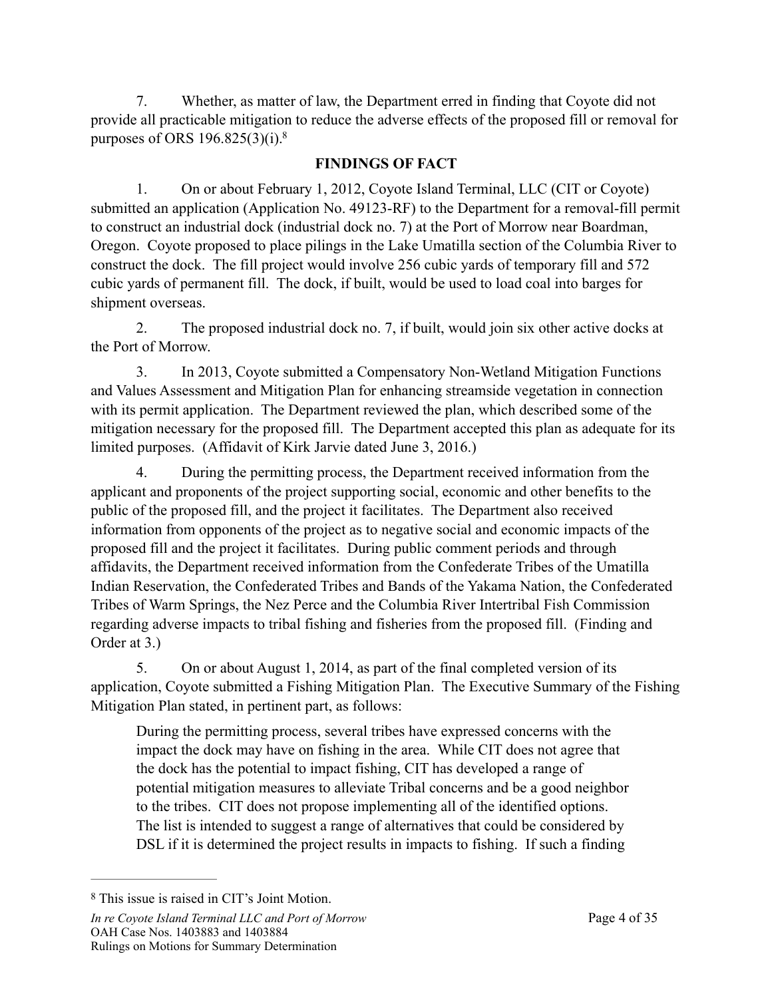7. Whether, as matter of law, the Department erred in finding that Coyote did not provide all practicable mitigation to reduce the adverse effects of the proposed fill or removal for purposes of ORS 196.825(3)(i)[.8](#page-3-0)

## <span id="page-3-1"></span>**FINDINGS OF FACT**

 1. On or about February 1, 2012, Coyote Island Terminal, LLC (CIT or Coyote) submitted an application (Application No. 49123-RF) to the Department for a removal-fill permit to construct an industrial dock (industrial dock no. 7) at the Port of Morrow near Boardman, Oregon. Coyote proposed to place pilings in the Lake Umatilla section of the Columbia River to construct the dock. The fill project would involve 256 cubic yards of temporary fill and 572 cubic yards of permanent fill. The dock, if built, would be used to load coal into barges for shipment overseas.

 2. The proposed industrial dock no. 7, if built, would join six other active docks at the Port of Morrow.

 3. In 2013, Coyote submitted a Compensatory Non-Wetland Mitigation Functions and Values Assessment and Mitigation Plan for enhancing streamside vegetation in connection with its permit application. The Department reviewed the plan, which described some of the mitigation necessary for the proposed fill. The Department accepted this plan as adequate for its limited purposes. (Affidavit of Kirk Jarvie dated June 3, 2016.)

 4. During the permitting process, the Department received information from the applicant and proponents of the project supporting social, economic and other benefits to the public of the proposed fill, and the project it facilitates. The Department also received information from opponents of the project as to negative social and economic impacts of the proposed fill and the project it facilitates. During public comment periods and through affidavits, the Department received information from the Confederate Tribes of the Umatilla Indian Reservation, the Confederated Tribes and Bands of the Yakama Nation, the Confederated Tribes of Warm Springs, the Nez Perce and the Columbia River Intertribal Fish Commission regarding adverse impacts to tribal fishing and fisheries from the proposed fill. (Finding and Order at 3.)

 5. On or about August 1, 2014, as part of the final completed version of its application, Coyote submitted a Fishing Mitigation Plan. The Executive Summary of the Fishing Mitigation Plan stated, in pertinent part, as follows:

During the permitting process, several tribes have expressed concerns with the impact the dock may have on fishing in the area. While CIT does not agree that the dock has the potential to impact fishing, CIT has developed a range of potential mitigation measures to alleviate Tribal concerns and be a good neighbor to the tribes. CIT does not propose implementing all of the identified options. The list is intended to suggest a range of alternatives that could be considered by DSL if it is determined the project results in impacts to fishing. If such a finding

<span id="page-3-0"></span><sup>&</sup>lt;sup>[8](#page-3-1)</sup> This issue is raised in CIT's Joint Motion.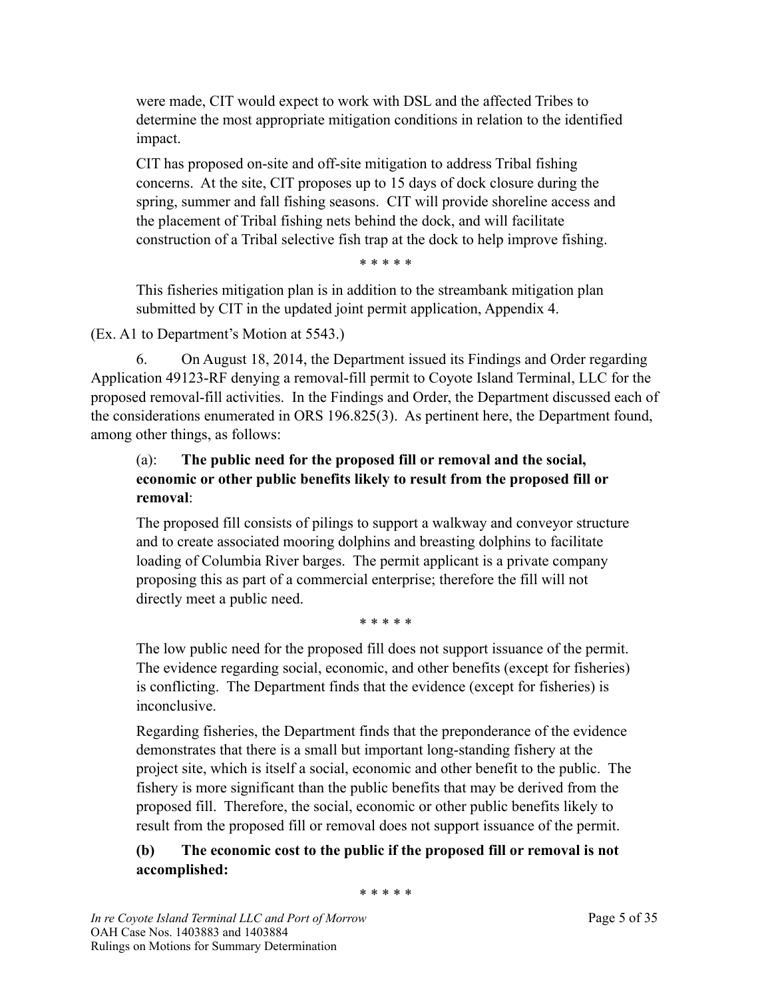were made, CIT would expect to work with DSL and the affected Tribes to determine the most appropriate mitigation conditions in relation to the identified impact.

CIT has proposed on-site and off-site mitigation to address Tribal fishing concerns. At the site, CIT proposes up to 15 days of dock closure during the spring, summer and fall fishing seasons. CIT will provide shoreline access and the placement of Tribal fishing nets behind the dock, and will facilitate construction of a Tribal selective fish trap at the dock to help improve fishing.

\* \* \* \* \*

This fisheries mitigation plan is in addition to the streambank mitigation plan submitted by CIT in the updated joint permit application, Appendix 4.

## (Ex. A1 to Department's Motion at 5543.)

 6. On August 18, 2014, the Department issued its Findings and Order regarding Application 49123-RF denying a removal-fill permit to Coyote Island Terminal, LLC for the proposed removal-fill activities. In the Findings and Order, the Department discussed each of the considerations enumerated in ORS 196.825(3). As pertinent here, the Department found, among other things, as follows:

## (a): **The public need for the proposed fill or removal and the social, economic or other public benefits likely to result from the proposed fill or removal**:

The proposed fill consists of pilings to support a walkway and conveyor structure and to create associated mooring dolphins and breasting dolphins to facilitate loading of Columbia River barges. The permit applicant is a private company proposing this as part of a commercial enterprise; therefore the fill will not directly meet a public need.

\* \* \* \* \*

The low public need for the proposed fill does not support issuance of the permit. The evidence regarding social, economic, and other benefits (except for fisheries) is conflicting. The Department finds that the evidence (except for fisheries) is inconclusive.

Regarding fisheries, the Department finds that the preponderance of the evidence demonstrates that there is a small but important long-standing fishery at the project site, which is itself a social, economic and other benefit to the public. The fishery is more significant than the public benefits that may be derived from the proposed fill. Therefore, the social, economic or other public benefits likely to result from the proposed fill or removal does not support issuance of the permit.

# **(b) The economic cost to the public if the proposed fill or removal is not accomplished:**

\* \* \* \* \*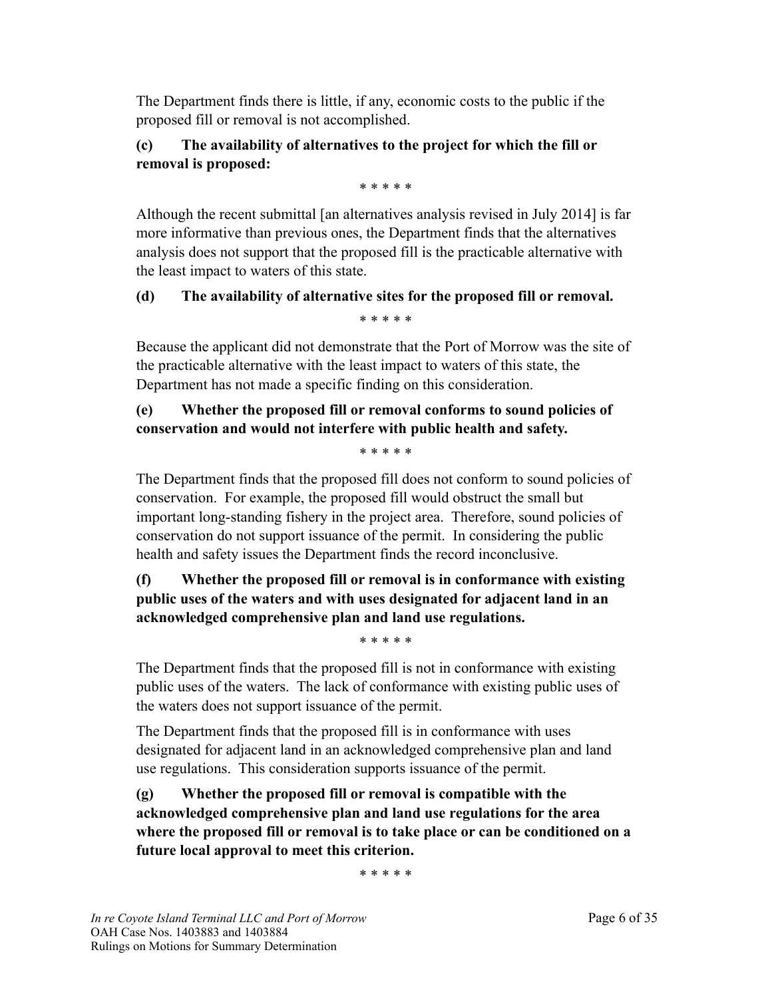The Department finds there is little, if any, economic costs to the public if the proposed fill or removal is not accomplished.

## **(c) The availability of alternatives to the project for which the fill or removal is proposed:**

\* \* \* \* \*

Although the recent submittal [an alternatives analysis revised in July 2014] is far more informative than previous ones, the Department finds that the alternatives analysis does not support that the proposed fill is the practicable alternative with the least impact to waters of this state.

#### **(d) The availability of alternative sites for the proposed fill or removal.** \* \* \* \* \*

Because the applicant did not demonstrate that the Port of Morrow was the site of the practicable alternative with the least impact to waters of this state, the Department has not made a specific finding on this consideration.

# **(e) Whether the proposed fill or removal conforms to sound policies of conservation and would not interfere with public health and safety.**

\* \* \* \* \*

The Department finds that the proposed fill does not conform to sound policies of conservation. For example, the proposed fill would obstruct the small but important long-standing fishery in the project area. Therefore, sound policies of conservation do not support issuance of the permit. In considering the public health and safety issues the Department finds the record inconclusive.

# **(f) Whether the proposed fill or removal is in conformance with existing public uses of the waters and with uses designated for adjacent land in an acknowledged comprehensive plan and land use regulations.**

\* \* \* \* \*

The Department finds that the proposed fill is not in conformance with existing public uses of the waters. The lack of conformance with existing public uses of the waters does not support issuance of the permit.

The Department finds that the proposed fill is in conformance with uses designated for adjacent land in an acknowledged comprehensive plan and land use regulations. This consideration supports issuance of the permit.

**(g) Whether the proposed fill or removal is compatible with the acknowledged comprehensive plan and land use regulations for the area where the proposed fill or removal is to take place or can be conditioned on a future local approval to meet this criterion.**

\* \* \* \* \*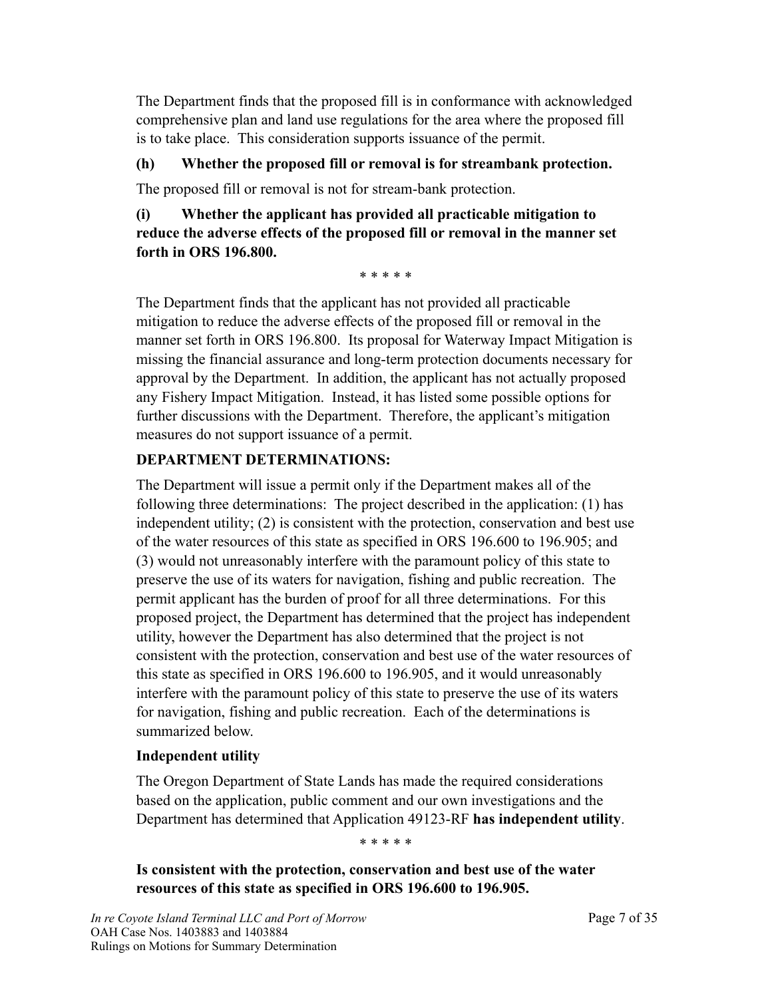The Department finds that the proposed fill is in conformance with acknowledged comprehensive plan and land use regulations for the area where the proposed fill is to take place. This consideration supports issuance of the permit.

## **(h) Whether the proposed fill or removal is for streambank protection.**

The proposed fill or removal is not for stream-bank protection.

## **(i) Whether the applicant has provided all practicable mitigation to reduce the adverse effects of the proposed fill or removal in the manner set forth in ORS 196.800.**

\* \* \* \* \*

The Department finds that the applicant has not provided all practicable mitigation to reduce the adverse effects of the proposed fill or removal in the manner set forth in ORS 196.800. Its proposal for Waterway Impact Mitigation is missing the financial assurance and long-term protection documents necessary for approval by the Department. In addition, the applicant has not actually proposed any Fishery Impact Mitigation. Instead, it has listed some possible options for further discussions with the Department. Therefore, the applicant's mitigation measures do not support issuance of a permit.

## **DEPARTMENT DETERMINATIONS:**

The Department will issue a permit only if the Department makes all of the following three determinations: The project described in the application: (1) has independent utility; (2) is consistent with the protection, conservation and best use of the water resources of this state as specified in ORS 196.600 to 196.905; and (3) would not unreasonably interfere with the paramount policy of this state to preserve the use of its waters for navigation, fishing and public recreation. The permit applicant has the burden of proof for all three determinations. For this proposed project, the Department has determined that the project has independent utility, however the Department has also determined that the project is not consistent with the protection, conservation and best use of the water resources of this state as specified in ORS 196.600 to 196.905, and it would unreasonably interfere with the paramount policy of this state to preserve the use of its waters for navigation, fishing and public recreation. Each of the determinations is summarized below.

#### **Independent utility**

The Oregon Department of State Lands has made the required considerations based on the application, public comment and our own investigations and the Department has determined that Application 49123-RF **has independent utility**.

\* \* \* \* \*

**Is consistent with the protection, conservation and best use of the water resources of this state as specified in ORS 196.600 to 196.905.**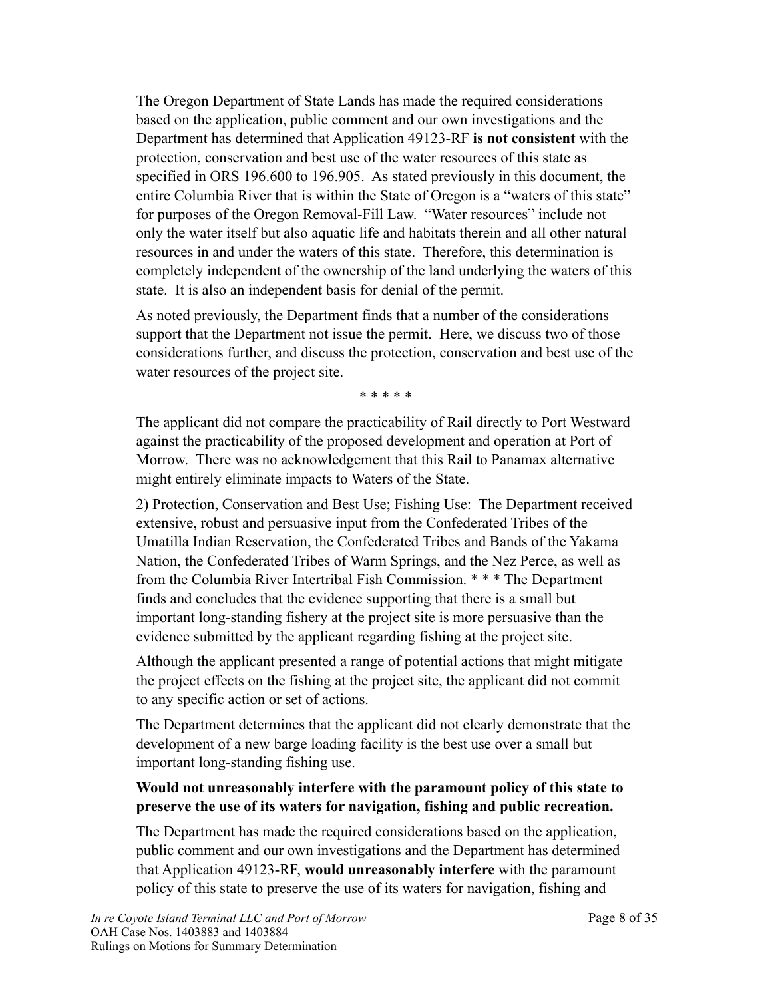The Oregon Department of State Lands has made the required considerations based on the application, public comment and our own investigations and the Department has determined that Application 49123-RF **is not consistent** with the protection, conservation and best use of the water resources of this state as specified in ORS 196.600 to 196.905. As stated previously in this document, the entire Columbia River that is within the State of Oregon is a "waters of this state" for purposes of the Oregon Removal-Fill Law. "Water resources" include not only the water itself but also aquatic life and habitats therein and all other natural resources in and under the waters of this state. Therefore, this determination is completely independent of the ownership of the land underlying the waters of this state. It is also an independent basis for denial of the permit.

As noted previously, the Department finds that a number of the considerations support that the Department not issue the permit. Here, we discuss two of those considerations further, and discuss the protection, conservation and best use of the water resources of the project site.

\* \* \* \* \*

The applicant did not compare the practicability of Rail directly to Port Westward against the practicability of the proposed development and operation at Port of Morrow. There was no acknowledgement that this Rail to Panamax alternative might entirely eliminate impacts to Waters of the State.

2) Protection, Conservation and Best Use; Fishing Use: The Department received extensive, robust and persuasive input from the Confederated Tribes of the Umatilla Indian Reservation, the Confederated Tribes and Bands of the Yakama Nation, the Confederated Tribes of Warm Springs, and the Nez Perce, as well as from the Columbia River Intertribal Fish Commission. \* \* \* The Department finds and concludes that the evidence supporting that there is a small but important long-standing fishery at the project site is more persuasive than the evidence submitted by the applicant regarding fishing at the project site.

Although the applicant presented a range of potential actions that might mitigate the project effects on the fishing at the project site, the applicant did not commit to any specific action or set of actions.

The Department determines that the applicant did not clearly demonstrate that the development of a new barge loading facility is the best use over a small but important long-standing fishing use.

#### **Would not unreasonably interfere with the paramount policy of this state to preserve the use of its waters for navigation, fishing and public recreation.**

The Department has made the required considerations based on the application, public comment and our own investigations and the Department has determined that Application 49123-RF, **would unreasonably interfere** with the paramount policy of this state to preserve the use of its waters for navigation, fishing and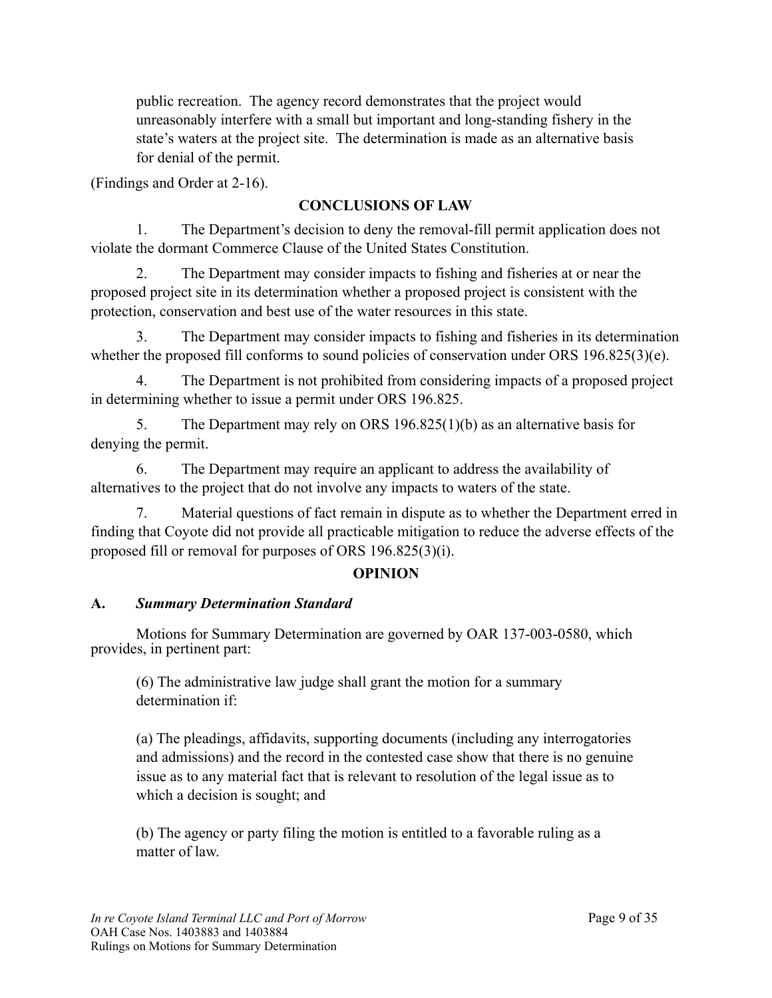public recreation. The agency record demonstrates that the project would unreasonably interfere with a small but important and long-standing fishery in the state's waters at the project site. The determination is made as an alternative basis for denial of the permit.

(Findings and Order at 2-16).

# **CONCLUSIONS OF LAW**

1. The Department's decision to deny the removal-fill permit application does not violate the dormant Commerce Clause of the United States Constitution.

 2. The Department may consider impacts to fishing and fisheries at or near the proposed project site in its determination whether a proposed project is consistent with the protection, conservation and best use of the water resources in this state.

 3. The Department may consider impacts to fishing and fisheries in its determination whether the proposed fill conforms to sound policies of conservation under ORS 196.825(3)(e).

 4. The Department is not prohibited from considering impacts of a proposed project in determining whether to issue a permit under ORS 196.825.

 5. The Department may rely on ORS 196.825(1)(b) as an alternative basis for denying the permit.

 6. The Department may require an applicant to address the availability of alternatives to the project that do not involve any impacts to waters of the state.

 7. Material questions of fact remain in dispute as to whether the Department erred in finding that Coyote did not provide all practicable mitigation to reduce the adverse effects of the proposed fill or removal for purposes of ORS 196.825(3)(i).

## **OPINION**

## **A.** *Summary Determination Standard*

 Motions for Summary Determination are governed by OAR 137-003-0580, which provides, in pertinent part:

(6) The administrative law judge shall grant the motion for a summary determination if:

(a) The pleadings, affidavits, supporting documents (including any interrogatories and admissions) and the record in the contested case show that there is no genuine issue as to any material fact that is relevant to resolution of the legal issue as to which a decision is sought; and

(b) The agency or party filing the motion is entitled to a favorable ruling as a matter of law.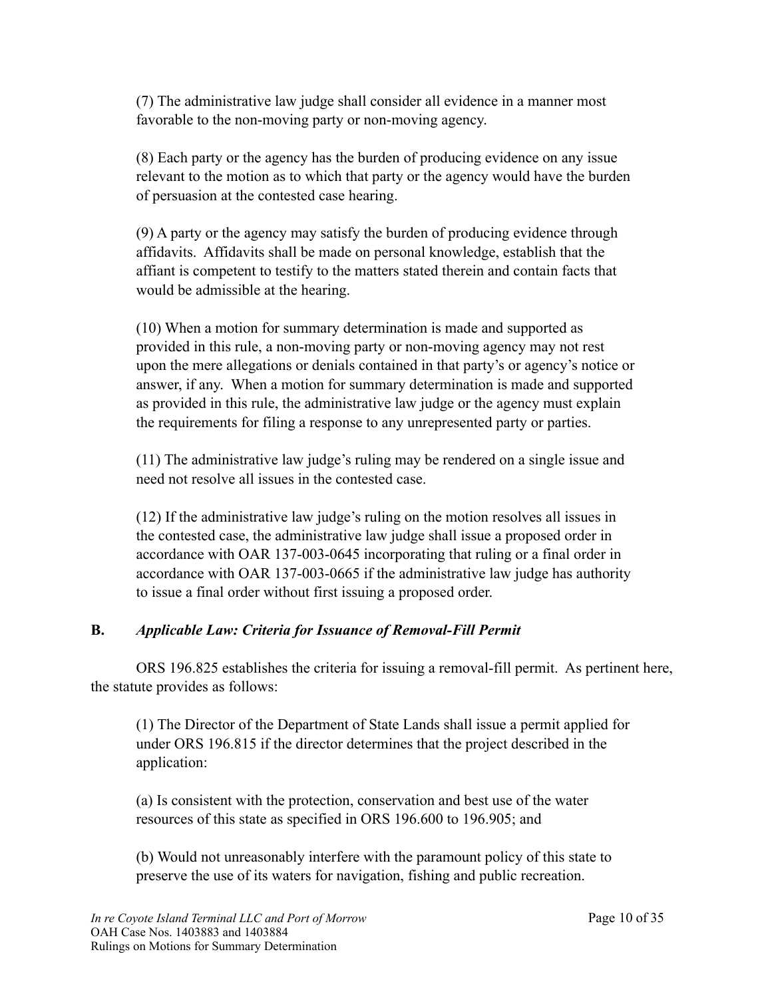(7) The administrative law judge shall consider all evidence in a manner most favorable to the non-moving party or non-moving agency.

(8) Each party or the agency has the burden of producing evidence on any issue relevant to the motion as to which that party or the agency would have the burden of persuasion at the contested case hearing.

(9) A party or the agency may satisfy the burden of producing evidence through affidavits. Affidavits shall be made on personal knowledge, establish that the affiant is competent to testify to the matters stated therein and contain facts that would be admissible at the hearing.

(10) When a motion for summary determination is made and supported as provided in this rule, a non-moving party or non-moving agency may not rest upon the mere allegations or denials contained in that party's or agency's notice or answer, if any. When a motion for summary determination is made and supported as provided in this rule, the administrative law judge or the agency must explain the requirements for filing a response to any unrepresented party or parties.

(11) The administrative law judge's ruling may be rendered on a single issue and need not resolve all issues in the contested case.

(12) If the administrative law judge's ruling on the motion resolves all issues in the contested case, the administrative law judge shall issue a proposed order in accordance with OAR 137-003-0645 incorporating that ruling or a final order in accordance with OAR 137-003-0665 if the administrative law judge has authority to issue a final order without first issuing a proposed order.

## **B.** *Applicable Law: Criteria for Issuance of Removal-Fill Permit*

ORS 196.825 establishes the criteria for issuing a removal-fill permit. As pertinent here, the statute provides as follows:

(1) The Director of the Department of State Lands shall issue a permit applied for under ORS 196.815 if the director determines that the project described in the application:

(a) Is consistent with the protection, conservation and best use of the water resources of this state as specified in ORS 196.600 to 196.905; and

(b) Would not unreasonably interfere with the paramount policy of this state to preserve the use of its waters for navigation, fishing and public recreation.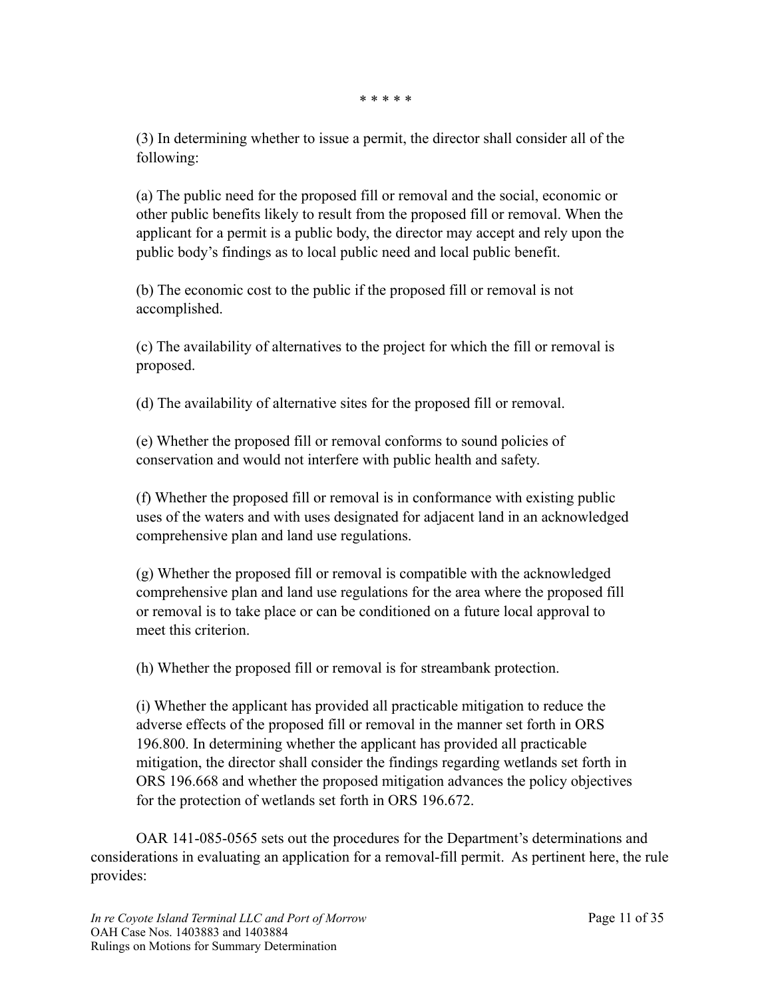\* \* \* \* \*

(3) In determining whether to issue a permit, the director shall consider all of the following:

(a) The public need for the proposed fill or removal and the social, economic or other public benefits likely to result from the proposed fill or removal. When the applicant for a permit is a public body, the director may accept and rely upon the public body's findings as to local public need and local public benefit.

(b) The economic cost to the public if the proposed fill or removal is not accomplished.

(c) The availability of alternatives to the project for which the fill or removal is proposed.

(d) The availability of alternative sites for the proposed fill or removal.

(e) Whether the proposed fill or removal conforms to sound policies of conservation and would not interfere with public health and safety.

(f) Whether the proposed fill or removal is in conformance with existing public uses of the waters and with uses designated for adjacent land in an acknowledged comprehensive plan and land use regulations.

(g) Whether the proposed fill or removal is compatible with the acknowledged comprehensive plan and land use regulations for the area where the proposed fill or removal is to take place or can be conditioned on a future local approval to meet this criterion.

(h) Whether the proposed fill or removal is for streambank protection.

(i) Whether the applicant has provided all practicable mitigation to reduce the adverse effects of the proposed fill or removal in the manner set forth in ORS 196.800. In determining whether the applicant has provided all practicable mitigation, the director shall consider the findings regarding wetlands set forth in ORS 196.668 and whether the proposed mitigation advances the policy objectives for the protection of wetlands set forth in ORS 196.672.

 OAR 141-085-0565 sets out the procedures for the Department's determinations and considerations in evaluating an application for a removal-fill permit. As pertinent here, the rule provides: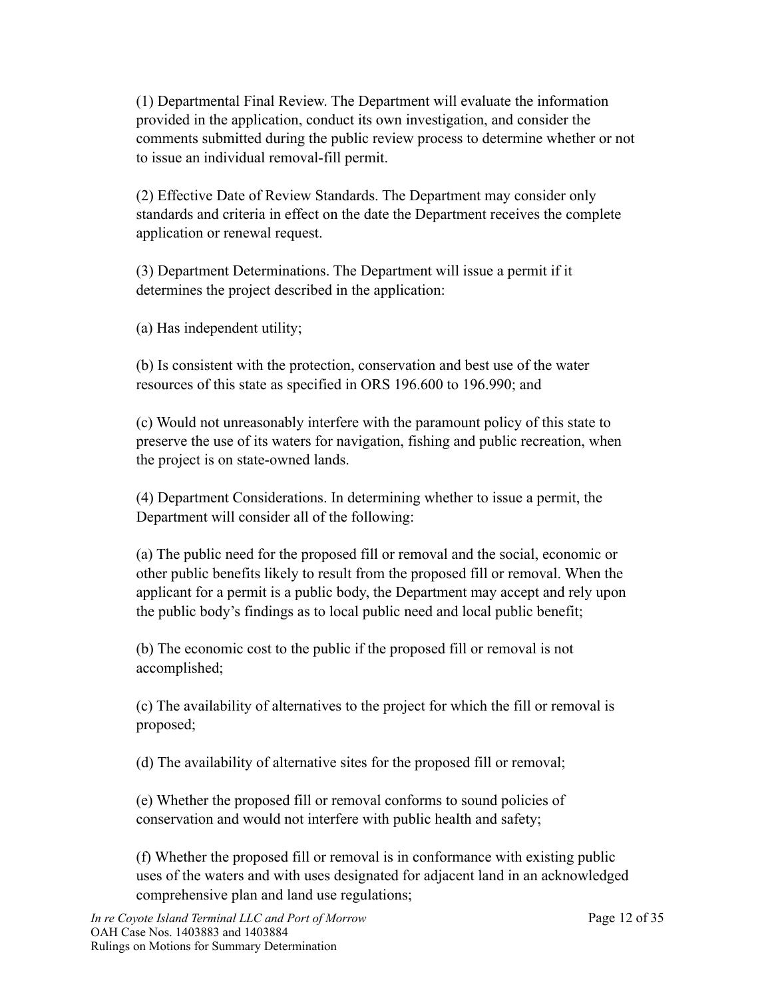(1) Departmental Final Review. The Department will evaluate the information provided in the application, conduct its own investigation, and consider the comments submitted during the public review process to determine whether or not to issue an individual removal-fill permit.

(2) Effective Date of Review Standards. The Department may consider only standards and criteria in effect on the date the Department receives the complete application or renewal request.

(3) Department Determinations. The Department will issue a permit if it determines the project described in the application:

(a) Has independent utility;

(b) Is consistent with the protection, conservation and best use of the water resources of this state as specified in ORS 196.600 to 196.990; and

(c) Would not unreasonably interfere with the paramount policy of this state to preserve the use of its waters for navigation, fishing and public recreation, when the project is on state-owned lands.

(4) Department Considerations. In determining whether to issue a permit, the Department will consider all of the following:

(a) The public need for the proposed fill or removal and the social, economic or other public benefits likely to result from the proposed fill or removal. When the applicant for a permit is a public body, the Department may accept and rely upon the public body's findings as to local public need and local public benefit;

(b) The economic cost to the public if the proposed fill or removal is not accomplished;

(c) The availability of alternatives to the project for which the fill or removal is proposed;

(d) The availability of alternative sites for the proposed fill or removal;

(e) Whether the proposed fill or removal conforms to sound policies of conservation and would not interfere with public health and safety;

(f) Whether the proposed fill or removal is in conformance with existing public uses of the waters and with uses designated for adjacent land in an acknowledged comprehensive plan and land use regulations;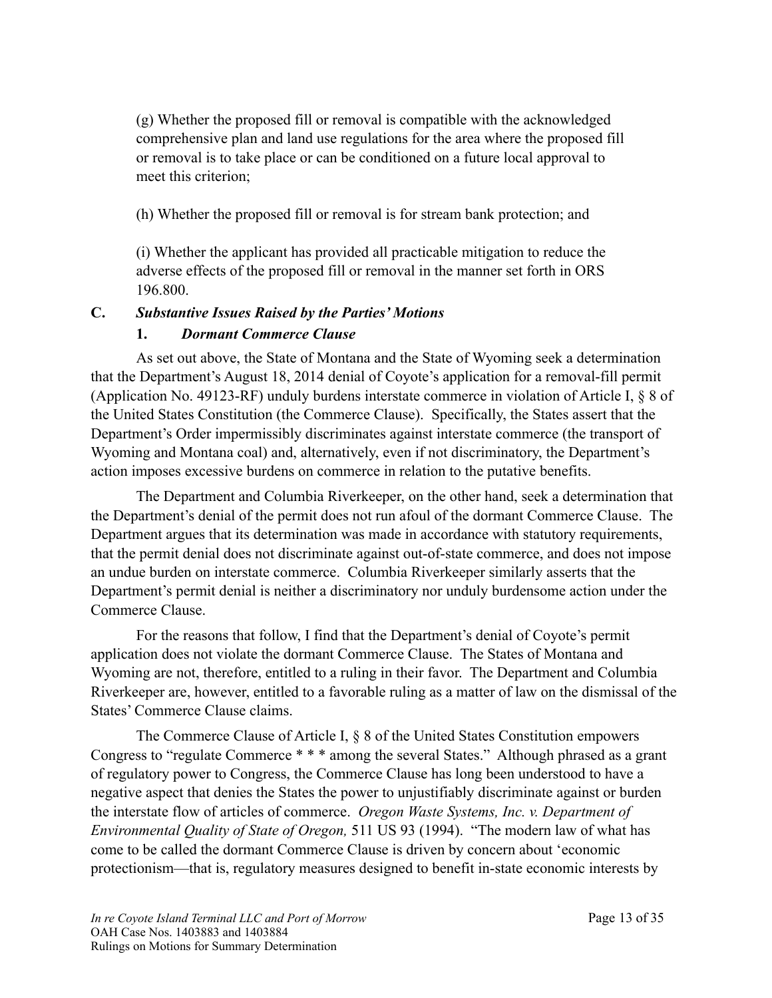(g) Whether the proposed fill or removal is compatible with the acknowledged comprehensive plan and land use regulations for the area where the proposed fill or removal is to take place or can be conditioned on a future local approval to meet this criterion;

(h) Whether the proposed fill or removal is for stream bank protection; and

(i) Whether the applicant has provided all practicable mitigation to reduce the adverse effects of the proposed fill or removal in the manner set forth in ORS 196.800.

### **C.** *Substantive Issues Raised by the Parties' Motions*

#### **1.** *Dormant Commerce Clause*

As set out above, the State of Montana and the State of Wyoming seek a determination that the Department's August 18, 2014 denial of Coyote's application for a removal-fill permit (Application No. 49123-RF) unduly burdens interstate commerce in violation of Article I, § 8 of the United States Constitution (the Commerce Clause). Specifically, the States assert that the Department's Order impermissibly discriminates against interstate commerce (the transport of Wyoming and Montana coal) and, alternatively, even if not discriminatory, the Department's action imposes excessive burdens on commerce in relation to the putative benefits.

 The Department and Columbia Riverkeeper, on the other hand, seek a determination that the Department's denial of the permit does not run afoul of the dormant Commerce Clause. The Department argues that its determination was made in accordance with statutory requirements, that the permit denial does not discriminate against out-of-state commerce, and does not impose an undue burden on interstate commerce. Columbia Riverkeeper similarly asserts that the Department's permit denial is neither a discriminatory nor unduly burdensome action under the Commerce Clause.

 For the reasons that follow, I find that the Department's denial of Coyote's permit application does not violate the dormant Commerce Clause. The States of Montana and Wyoming are not, therefore, entitled to a ruling in their favor. The Department and Columbia Riverkeeper are, however, entitled to a favorable ruling as a matter of law on the dismissal of the States' Commerce Clause claims.

The Commerce Clause of Article I, § 8 of the United States Constitution empowers Congress to "regulate Commerce \* \* \* among the several States." Although phrased as a grant of regulatory power to Congress, the Commerce Clause has long been understood to have a negative aspect that denies the States the power to unjustifiably discriminate against or burden the interstate flow of articles of commerce. *Oregon Waste Systems, Inc. v. Department of Environmental Quality of State of Oregon,* 511 US 93 (1994). "The modern law of what has come to be called the dormant Commerce Clause is driven by concern about 'economic protectionism—that is, regulatory measures designed to benefit in-state economic interests by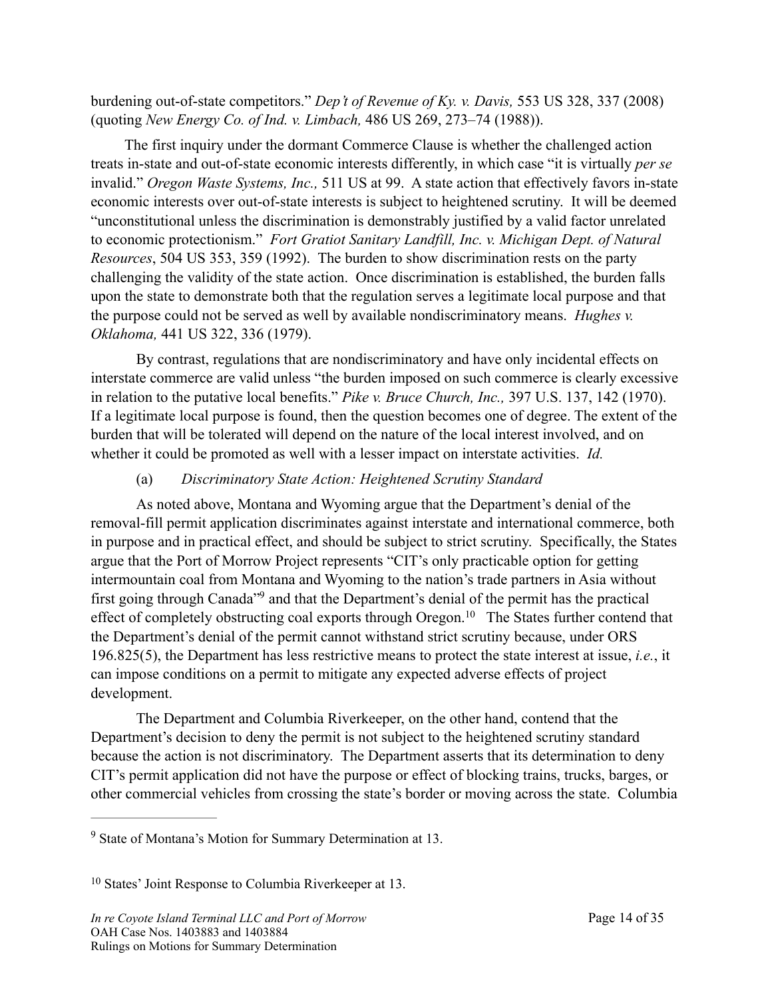burdening out-of-state competitors." *Dep't of Revenue of Ky. v. Davis,* 553 US 328, 337 (2008) (quoting *New Energy Co. of Ind. v. Limbach,* 486 US 269, 273–74 (1988)).

 The first inquiry under the dormant Commerce Clause is whether the challenged action treats in-state and out-of-state economic interests differently, in which case "it is virtually *per se* invalid." *Oregon Waste Systems, Inc.,* 511 US at 99. A state action that effectively favors in-state economic interests over out-of-state interests is subject to heightened scrutiny. It will be deemed "unconstitutional unless the discrimination is demonstrably justified by a valid factor unrelated to economic protectionism." *Fort Gratiot Sanitary Landfill, Inc. v. Michigan Dept. of Natural Resources*, 504 US 353, 359 (1992). The burden to show discrimination rests on the party challenging the validity of the state action. Once discrimination is established, the burden falls upon the state to demonstrate both that the regulation serves a legitimate local purpose and that the purpose could not be served as well by available nondiscriminatory means. *Hughes v. Oklahoma,* 441 US 322, 336 (1979).

 By contrast, regulations that are nondiscriminatory and have only incidental effects on interstate commerce are valid unless "the burden imposed on such commerce is clearly excessive in relation to the putative local benefits." *Pike v. Bruce Church, Inc.,* 397 U.S. 137, 142 (1970). If a legitimate local purpose is found, then the question becomes one of degree. The extent of the burden that will be tolerated will depend on the nature of the local interest involved, and on whether it could be promoted as well with a lesser impact on interstate activities. *Id.*

#### <span id="page-13-3"></span><span id="page-13-2"></span>(a) *Discriminatory State Action: Heightened Scrutiny Standard*

As noted above, Montana and Wyoming argue that the Department's denial of the removal-fill permit application discriminates against interstate and international commerce, both in purpose and in practical effect, and should be subject to strict scrutiny. Specifically, the States argue that the Port of Morrow Project represents "CIT's only practicable option for getting intermountain coal from Montana and Wyoming to the nation's trade partners in Asia without first going through Canada<sup>["](#page-13-0)[9](#page-13-0)</sup> and that the Department's denial of the permit has the practical effect of completely obstructing coal exports through Oregon[.](#page-13-1)<sup>[10](#page-13-1)</sup> The States further contend that the Department's denial of the permit cannot withstand strict scrutiny because, under ORS 196.825(5), the Department has less restrictive means to protect the state interest at issue, *i.e.*, it can impose conditions on a permit to mitigate any expected adverse effects of project development.

 The Department and Columbia Riverkeeper, on the other hand, contend that the Department's decision to deny the permit is not subject to the heightened scrutiny standard because the action is not discriminatory. The Department asserts that its determination to deny CIT's permit application did not have the purpose or effect of blocking trains, trucks, barges, or other commercial vehicles from crossing the state's border or moving across the state. Columbia

<span id="page-13-0"></span><sup>&</sup>lt;sup>[9](#page-13-2)</sup> State of Montana's Motion for Summary Determination at 13.

<span id="page-13-1"></span><sup>&</sup>lt;sup>[10](#page-13-3)</sup> States' Joint Response to Columbia Riverkeeper at 13.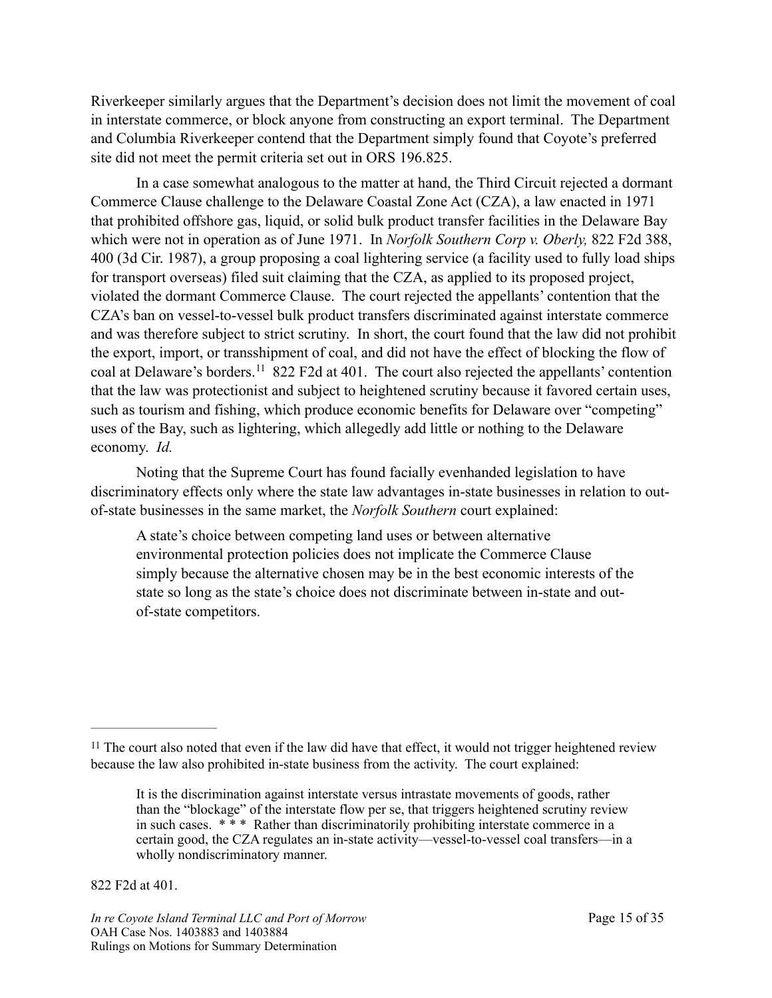Riverkeeper similarly argues that the Department's decision does not limit the movement of coal in interstate commerce, or block anyone from constructing an export terminal. The Department and Columbia Riverkeeper contend that the Department simply found that Coyote's preferred site did not meet the permit criteria set out in ORS 196.825.

 In a case somewhat analogous to the matter at hand, the Third Circuit rejected a dormant Commerce Clause challenge to the Delaware Coastal Zone Act (CZA), a law enacted in 1971 that prohibited offshore gas, liquid, or solid bulk product transfer facilities in the Delaware Bay which were not in operation as of June 1971. In *Norfolk Southern Corp v. Oberly,* 822 F2d 388, 400 (3d Cir. 1987), a group proposing a coal lightering service (a facility used to fully load ships for transport overseas) filed suit claiming that the CZA, as applied to its proposed project, violated the dormant Commerce Clause. The court rejected the appellants' contention that the CZA's ban on vessel-to-vessel bulk product transfers discriminated against interstate commerce and was therefore subject to strict scrutiny. In short, the court found that the law did not prohibit the export, import, or transshipment of coal, and did not have the effect of blocking the flow of coal at Delaware's borders.<sup>[11](#page-14-0)</sup> 822 F2d at 401. The court also rejected the appellants' contention that the law was protectionist and subject to heightened scrutiny because it favored certain uses, such as tourism and fishing, which produce economic benefits for Delaware over "competing" uses of the Bay, such as lightering, which allegedly add little or nothing to the Delaware economy. *Id.*

<span id="page-14-1"></span> Noting that the Supreme Court has found facially evenhanded legislation to have discriminatory effects only where the state law advantages in-state businesses in relation to outof-state businesses in the same market, the *Norfolk Southern* court explained:

A state's choice between competing land uses or between alternative environmental protection policies does not implicate the Commerce Clause simply because the alternative chosen may be in the best economic interests of the state so long as the state's choice does not discriminate between in-state and outof-state competitors.

822 F2d at 401.

<span id="page-14-0"></span> $11$ The court also noted that even if the law did have that effect, it would not trigger heightened review because the law also prohibited in-state business from the activity. The court explained:

It is the discrimination against interstate versus intrastate movements of goods, rather than the "blockage" of the interstate flow per se, that triggers heightened scrutiny review in such cases. \* \* \* Rather than discriminatorily prohibiting interstate commerce in a certain good, the CZA regulates an in-state activity—vessel-to-vessel coal transfers—in a wholly nondiscriminatory manner.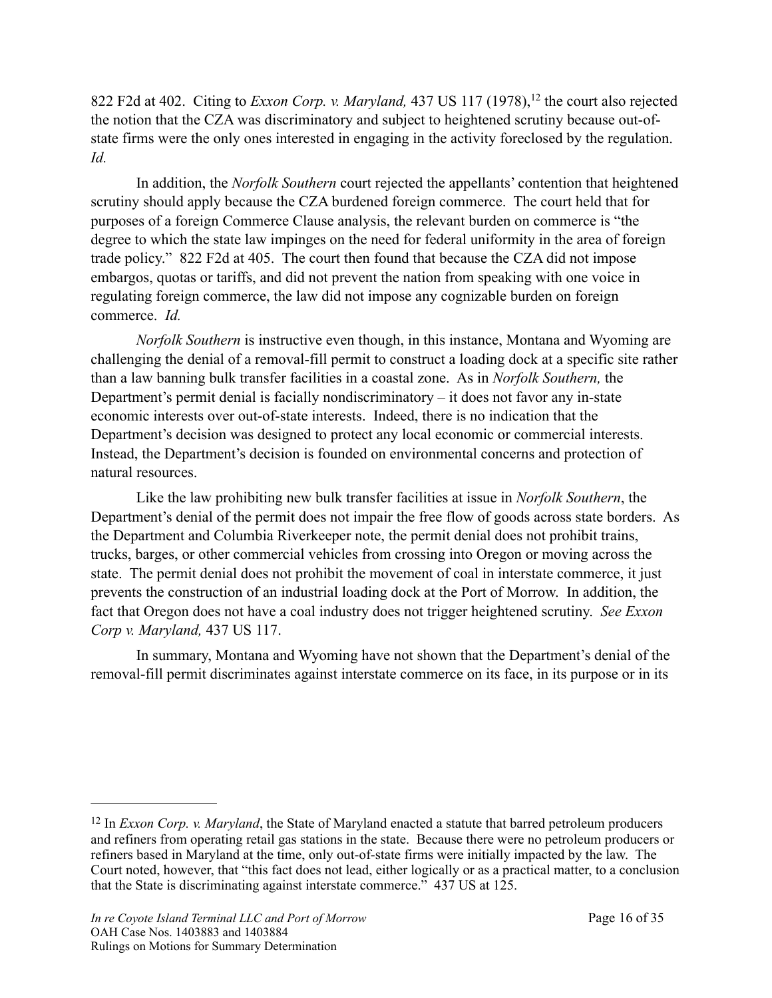<span id="page-15-1"></span>822F2d at 402. Citing to *Exxon Corp. v. Maryland*, 437 US 117 (1978), <sup>[12](#page-15-0)</sup> the court also rejected the notion that the CZA was discriminatory and subject to heightened scrutiny because out-ofstate firms were the only ones interested in engaging in the activity foreclosed by the regulation. *Id.* 

In addition, the *Norfolk Southern* court rejected the appellants' contention that heightened scrutiny should apply because the CZA burdened foreign commerce. The court held that for purposes of a foreign Commerce Clause analysis, the relevant burden on commerce is "the degree to which the state law impinges on the need for federal uniformity in the area of foreign trade policy." 822 F2d at 405. The court then found that because the CZA did not impose embargos, quotas or tariffs, and did not prevent the nation from speaking with one voice in regulating foreign commerce, the law did not impose any cognizable burden on foreign commerce. *Id.*

*Norfolk Southern* is instructive even though, in this instance, Montana and Wyoming are challenging the denial of a removal-fill permit to construct a loading dock at a specific site rather than a law banning bulk transfer facilities in a coastal zone. As in *Norfolk Southern,* the Department's permit denial is facially nondiscriminatory – it does not favor any in-state economic interests over out-of-state interests. Indeed, there is no indication that the Department's decision was designed to protect any local economic or commercial interests. Instead, the Department's decision is founded on environmental concerns and protection of natural resources.

 Like the law prohibiting new bulk transfer facilities at issue in *Norfolk Southern*, the Department's denial of the permit does not impair the free flow of goods across state borders. As the Department and Columbia Riverkeeper note, the permit denial does not prohibit trains, trucks, barges, or other commercial vehicles from crossing into Oregon or moving across the state. The permit denial does not prohibit the movement of coal in interstate commerce, it just prevents the construction of an industrial loading dock at the Port of Morrow. In addition, the fact that Oregon does not have a coal industry does not trigger heightened scrutiny. *See Exxon Corp v. Maryland,* 437 US 117.

 In summary, Montana and Wyoming have not shown that the Department's denial of the removal-fill permit discriminates against interstate commerce on its face, in its purpose or in its

<span id="page-15-0"></span><sup>&</sup>lt;sup>[12](#page-15-1)</sup> In *Exxon Corp. v. Maryland*, the State of Maryland enacted a statute that barred petroleum producers and refiners from operating retail gas stations in the state. Because there were no petroleum producers or refiners based in Maryland at the time, only out-of-state firms were initially impacted by the law. The Court noted, however, that "this fact does not lead, either logically or as a practical matter, to a conclusion that the State is discriminating against interstate commerce." 437 US at 125.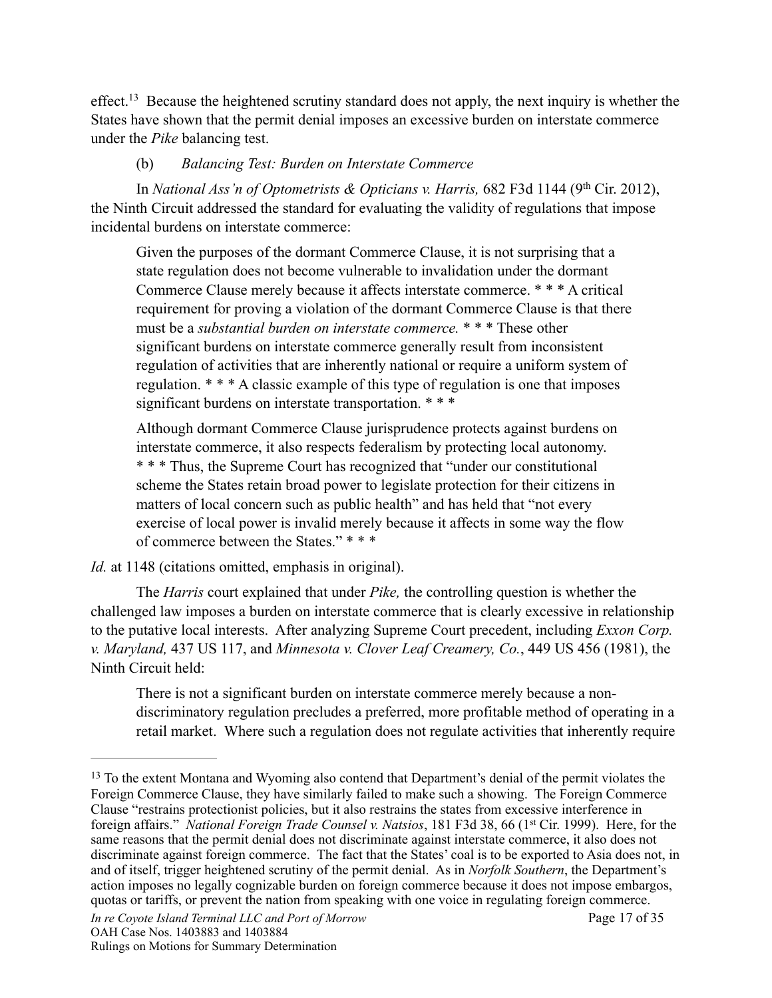<span id="page-16-1"></span>effect[.](#page-16-0)<sup>[13](#page-16-0)</sup> Because the heightened scrutiny standard does not apply, the next inquiry is whether the States have shown that the permit denial imposes an excessive burden on interstate commerce under the *Pike* balancing test.

### (b) *Balancing Test: Burden on Interstate Commerce*

In *National Ass'n of Optometrists & Opticians v. Harris,* 682 F3d 1144 (9<sup>th</sup> Cir. 2012), the Ninth Circuit addressed the standard for evaluating the validity of regulations that impose incidental burdens on interstate commerce:

Given the purposes of the dormant Commerce Clause, it is not surprising that a state regulation does not become vulnerable to invalidation under the dormant Commerce Clause merely because it affects interstate commerce. \* \* \* A critical requirement for proving a violation of the dormant Commerce Clause is that there must be a *substantial burden on interstate commerce.* \* \* \* These other significant burdens on interstate commerce generally result from inconsistent regulation of activities that are inherently national or require a uniform system of regulation. \* \* \* A classic example of this type of regulation is one that imposes significant burdens on interstate transportation. \*\*\*

Although dormant Commerce Clause jurisprudence protects against burdens on interstate commerce, it also respects federalism by protecting local autonomy. \* \* \* Thus, the Supreme Court has recognized that "under our constitutional scheme the States retain broad power to legislate protection for their citizens in matters of local concern such as public health" and has held that "not every exercise of local power is invalid merely because it affects in some way the flow of commerce between the States." \* \* \*

*Id.* at 1148 (citations omitted, emphasis in original).

 The *Harris* court explained that under *Pike,* the controlling question is whether the challenged law imposes a burden on interstate commerce that is clearly excessive in relationship to the putative local interests. After analyzing Supreme Court precedent, including *Exxon Corp. v. Maryland,* 437 US 117, and *Minnesota v. Clover Leaf Creamery, Co.*, 449 US 456 (1981), the Ninth Circuit held:

There is not a significant burden on interstate commerce merely because a nondiscriminatory regulation precludes a preferred, more profitable method of operating in a retail market. Where such a regulation does not regulate activities that inherently require

<span id="page-16-0"></span><sup>&</sup>lt;sup>[13](#page-16-1)</sup> To the extent Montana and Wyoming also contend that Department's denial of the permit violates the Foreign Commerce Clause, they have similarly failed to make such a showing. The Foreign Commerce Clause "restrains protectionist policies, but it also restrains the states from excessive interference in foreign affairs." *National Foreign Trade Counsel v. Natsios*, 181 F3d 38, 66 (1st Cir. 1999). Here, for the same reasons that the permit denial does not discriminate against interstate commerce, it also does not discriminate against foreign commerce. The fact that the States' coal is to be exported to Asia does not, in and of itself, trigger heightened scrutiny of the permit denial. As in *Norfolk Southern*, the Department's action imposes no legally cognizable burden on foreign commerce because it does not impose embargos, quotas or tariffs, or prevent the nation from speaking with one voice in regulating foreign commerce.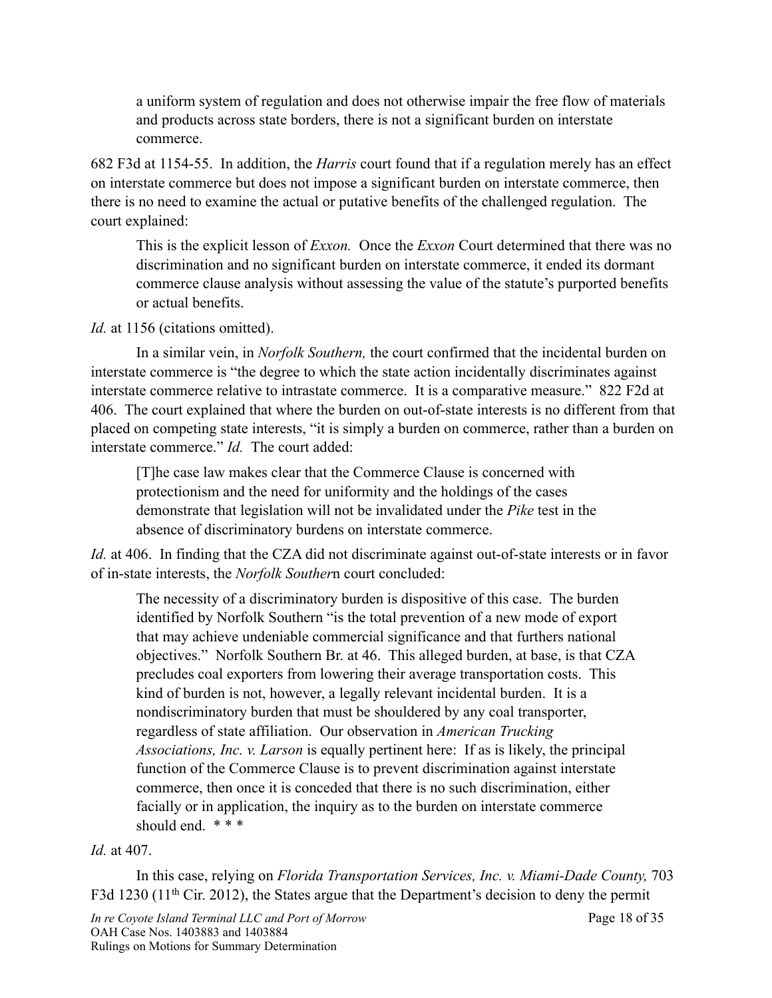a uniform system of regulation and does not otherwise impair the free flow of materials and products across state borders, there is not a significant burden on interstate commerce.

682 F3d at 1154-55. In addition, the *Harris* court found that if a regulation merely has an effect on interstate commerce but does not impose a significant burden on interstate commerce, then there is no need to examine the actual or putative benefits of the challenged regulation. The court explained:

This is the explicit lesson of *Exxon.* Once the *Exxon* Court determined that there was no discrimination and no significant burden on interstate commerce, it ended its dormant commerce clause analysis without assessing the value of the statute's purported benefits or actual benefits.

#### *Id.* at 1156 (citations omitted).

 In a similar vein, in *Norfolk Southern,* the court confirmed that the incidental burden on interstate commerce is "the degree to which the state action incidentally discriminates against interstate commerce relative to intrastate commerce. It is a comparative measure." 822 F2d at 406. The court explained that where the burden on out-of-state interests is no different from that placed on competing state interests, "it is simply a burden on commerce, rather than a burden on interstate commerce." *Id.* The court added:

[T]he case law makes clear that the Commerce Clause is concerned with protectionism and the need for uniformity and the holdings of the cases demonstrate that legislation will not be invalidated under the *Pike* test in the absence of discriminatory burdens on interstate commerce.

*Id.* at 406. In finding that the CZA did not discriminate against out-of-state interests or in favor of in-state interests, the *Norfolk Souther*n court concluded:

The necessity of a discriminatory burden is dispositive of this case. The burden identified by Norfolk Southern "is the total prevention of a new mode of export that may achieve undeniable commercial significance and that furthers national objectives." Norfolk Southern Br. at 46. This alleged burden, at base, is that CZA precludes coal exporters from lowering their average transportation costs. This kind of burden is not, however, a legally relevant incidental burden. It is a nondiscriminatory burden that must be shouldered by any coal transporter, regardless of state affiliation. Our observation in *American Trucking Associations, Inc. v. Larson* is equally pertinent here: If as is likely, the principal function of the Commerce Clause is to prevent discrimination against interstate commerce, then once it is conceded that there is no such discrimination, either facially or in application, the inquiry as to the burden on interstate commerce should end. \*\*\*

## *Id.* at 407.

 In this case, relying on *Florida Transportation Services, Inc. v. Miami-Dade County,* 703 F3d 1230 (11<sup>th</sup> Cir. 2012), the States argue that the Department's decision to deny the permit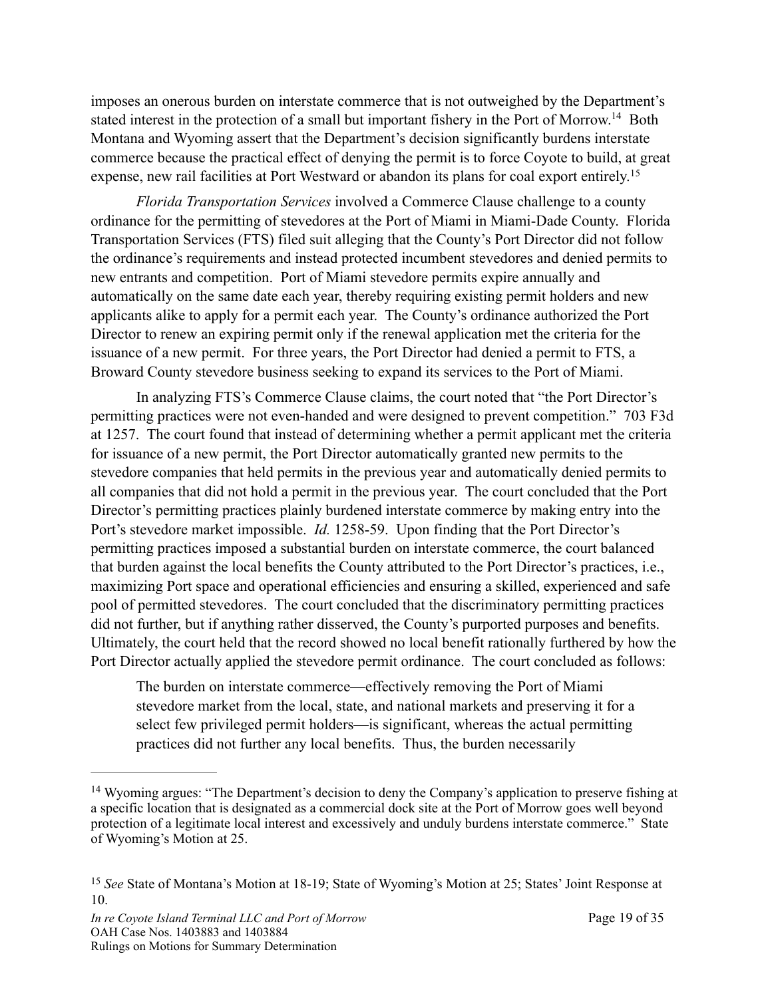<span id="page-18-2"></span>imposes an onerous burden on interstate commerce that is not outweighed by the Department's stated interest in the protection of a small but important fishery in the Port of Morrow[.](#page-18-0)<sup>[14](#page-18-0)</sup> Both Montana and Wyoming assert that the Department's decision significantly burdens interstate commerce because the practical effect of denying the permit is to force Coyote to build, at great expense, new rail facilities at Port Westward or abandon its plans for coal export entirely.<sup>[15](#page-18-1)</sup>

<span id="page-18-3"></span>*Florida Transportation Services* involved a Commerce Clause challenge to a county ordinance for the permitting of stevedores at the Port of Miami in Miami-Dade County. Florida Transportation Services (FTS) filed suit alleging that the County's Port Director did not follow the ordinance's requirements and instead protected incumbent stevedores and denied permits to new entrants and competition. Port of Miami stevedore permits expire annually and automatically on the same date each year, thereby requiring existing permit holders and new applicants alike to apply for a permit each year. The County's ordinance authorized the Port Director to renew an expiring permit only if the renewal application met the criteria for the issuance of a new permit. For three years, the Port Director had denied a permit to FTS, a Broward County stevedore business seeking to expand its services to the Port of Miami.

 In analyzing FTS's Commerce Clause claims, the court noted that "the Port Director's permitting practices were not even-handed and were designed to prevent competition." 703 F3d at 1257. The court found that instead of determining whether a permit applicant met the criteria for issuance of a new permit, the Port Director automatically granted new permits to the stevedore companies that held permits in the previous year and automatically denied permits to all companies that did not hold a permit in the previous year. The court concluded that the Port Director's permitting practices plainly burdened interstate commerce by making entry into the Port's stevedore market impossible. *Id.* 1258-59. Upon finding that the Port Director's permitting practices imposed a substantial burden on interstate commerce, the court balanced that burden against the local benefits the County attributed to the Port Director's practices, i.e., maximizing Port space and operational efficiencies and ensuring a skilled, experienced and safe pool of permitted stevedores. The court concluded that the discriminatory permitting practices did not further, but if anything rather disserved, the County's purported purposes and benefits. Ultimately, the court held that the record showed no local benefit rationally furthered by how the Port Director actually applied the stevedore permit ordinance. The court concluded as follows:

The burden on interstate commerce—effectively removing the Port of Miami stevedore market from the local, state, and national markets and preserving it for a select few privileged permit holders—is significant, whereas the actual permitting practices did not further any local benefits. Thus, the burden necessarily

<span id="page-18-0"></span><sup>&</sup>lt;sup>[14](#page-18-2)</sup> Wyoming argues: "The Department's decision to deny the Company's application to preserve fishing at a specific location that is designated as a commercial dock site at the Port of Morrow goes well beyond protection of a legitimate local interest and excessively and unduly burdens interstate commerce." State of Wyoming's Motion at 25.

<span id="page-18-1"></span><sup>&</sup>lt;sup>[15](#page-18-3)</sup> See State of Montana's Motion at 18-19; State of Wyoming's Motion at 25; States' Joint Response at 10.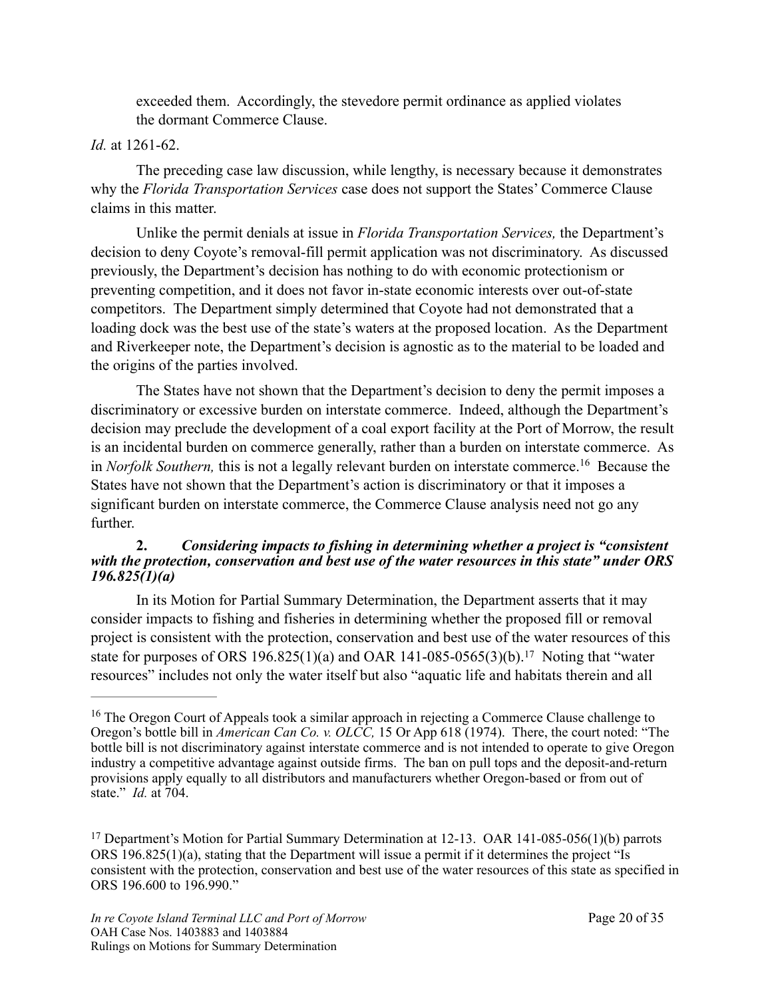exceeded them. Accordingly, the stevedore permit ordinance as applied violates the dormant Commerce Clause.

#### *Id.* at 1261-62.

 The preceding case law discussion, while lengthy, is necessary because it demonstrates why the *Florida Transportation Services* case does not support the States' Commerce Clause claims in this matter.

 Unlike the permit denials at issue in *Florida Transportation Services,* the Department's decision to deny Coyote's removal-fill permit application was not discriminatory. As discussed previously, the Department's decision has nothing to do with economic protectionism or preventing competition, and it does not favor in-state economic interests over out-of-state competitors. The Department simply determined that Coyote had not demonstrated that a loading dock was the best use of the state's waters at the proposed location. As the Department and Riverkeeper note, the Department's decision is agnostic as to the material to be loaded and the origins of the parties involved.

 The States have not shown that the Department's decision to deny the permit imposes a discriminatory or excessive burden on interstate commerce. Indeed, although the Department's decision may preclude the development of a coal export facility at the Port of Morrow, the result is an incidental burden on commerce generally, rather than a burden on interstate commerce. As in*Norfolk Southern*, this is not a legally relevant burden on interstate commerce.<sup>[16](#page-19-0)</sup> Because the States have not shown that the Department's action is discriminatory or that it imposes a significant burden on interstate commerce, the Commerce Clause analysis need not go any further.

#### <span id="page-19-2"></span>**2.** *Considering impacts to fishing in determining whether a project is "consistent with the protection, conservation and best use of the water resources in this state" under ORS 196.825(1)(a)*

In its Motion for Partial Summary Determination, the Department asserts that it may consider impacts to fishing and fisheries in determining whether the proposed fill or removal project is consistent with the protection, conservation and best use of the water resources of this statefor purposes of ORS 196.825(1)(a) and OAR 141-085-0565(3)(b).<sup>[17](#page-19-1)</sup> Noting that "water resources" includes not only the water itself but also "aquatic life and habitats therein and all

<span id="page-19-3"></span><span id="page-19-0"></span><sup>&</sup>lt;sup>[16](#page-19-2)</sup> The Oregon Court of Appeals took a similar approach in rejecting a Commerce Clause challenge to Oregon's bottle bill in *American Can Co. v. OLCC,* 15 Or App 618 (1974). There, the court noted: "The bottle bill is not discriminatory against interstate commerce and is not intended to operate to give Oregon industry a competitive advantage against outside firms. The ban on pull tops and the deposit-and-return provisions apply equally to all distributors and manufacturers whether Oregon-based or from out of state." *Id.* at 704.

<span id="page-19-1"></span><sup>&</sup>lt;sup>[17](#page-19-3)</sup> Department's Motion for Partial Summary Determination at 12-13. OAR 141-085-056(1)(b) parrots ORS 196.825(1)(a), stating that the Department will issue a permit if it determines the project "Is consistent with the protection, conservation and best use of the water resources of this state as specified in ORS 196.600 to 196.990."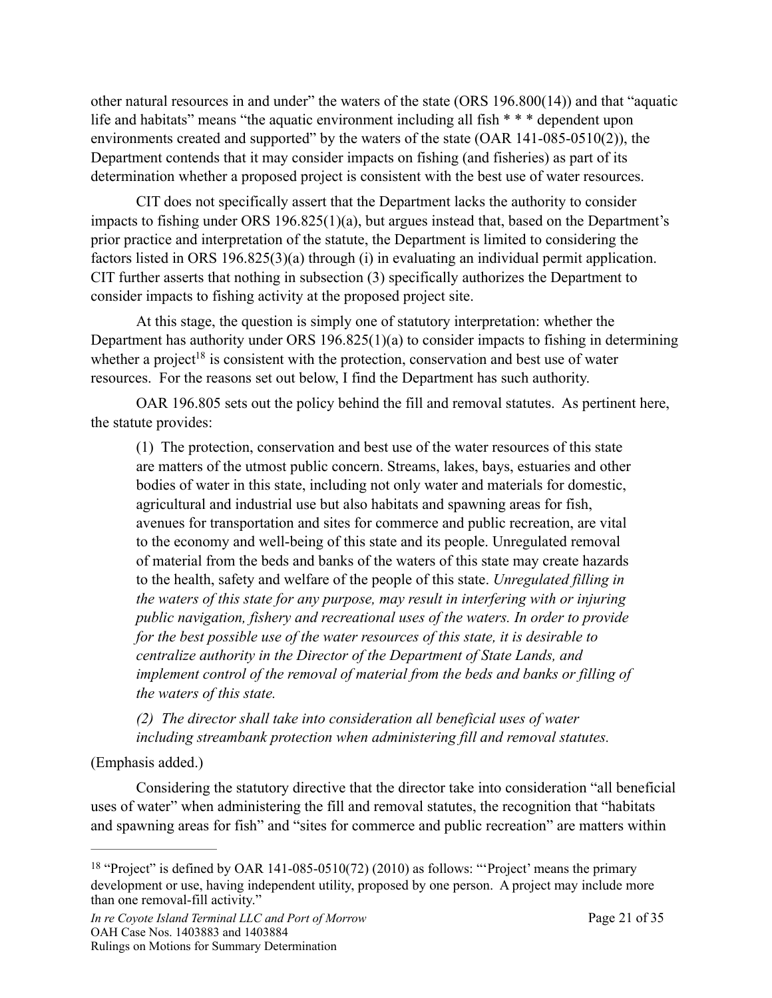other natural resources in and under" the waters of the state (ORS 196.800(14)) and that "aquatic life and habitats" means "the aquatic environment including all fish \* \* \* dependent upon environments created and supported" by the waters of the state (OAR 141-085-0510(2)), the Department contends that it may consider impacts on fishing (and fisheries) as part of its determination whether a proposed project is consistent with the best use of water resources.

 CIT does not specifically assert that the Department lacks the authority to consider impacts to fishing under ORS 196.825(1)(a), but argues instead that, based on the Department's prior practice and interpretation of the statute, the Department is limited to considering the factors listed in ORS 196.825(3)(a) through (i) in evaluating an individual permit application. CIT further asserts that nothing in subsection (3) specifically authorizes the Department to consider impacts to fishing activity at the proposed project site.

 At this stage, the question is simply one of statutory interpretation: whether the Department has authority under ORS 196.825(1)(a) to consider impacts to fishing in determining whe[t](#page-20-0)her a project<sup>[18](#page-20-0)</sup> is consistent with the protection, conservation and best use of water resources. For the reasons set out below, I find the Department has such authority.

 OAR 196.805 sets out the policy behind the fill and removal statutes. As pertinent here, the statute provides:

<span id="page-20-1"></span>(1) The protection, conservation and best use of the water resources of this state are matters of the utmost public concern. Streams, lakes, bays, estuaries and other bodies of water in this state, including not only water and materials for domestic, agricultural and industrial use but also habitats and spawning areas for fish, avenues for transportation and sites for commerce and public recreation, are vital to the economy and well-being of this state and its people. Unregulated removal of material from the beds and banks of the waters of this state may create hazards to the health, safety and welfare of the people of this state. *Unregulated filling in the waters of this state for any purpose, may result in interfering with or injuring public navigation, fishery and recreational uses of the waters. In order to provide for the best possible use of the water resources of this state, it is desirable to centralize authority in the Director of the Department of State Lands, and implement control of the removal of material from the beds and banks or filling of the waters of this state.* 

*(2) The director shall take into consideration all beneficial uses of water including streambank protection when administering fill and removal statutes.* 

#### (Emphasis added.)

 Considering the statutory directive that the director take into consideration "all beneficial uses of water" when administering the fill and removal statutes, the recognition that "habitats and spawning areas for fish" and "sites for commerce and public recreation" are matters within

<span id="page-20-0"></span><sup>&</sup>lt;sup>[18](#page-20-1)</sup> "Project" is defined by OAR 141-085-0510(72) (2010) as follows: "Project' means the primary development or use, having independent utility, proposed by one person. A project may include more than one removal-fill activity."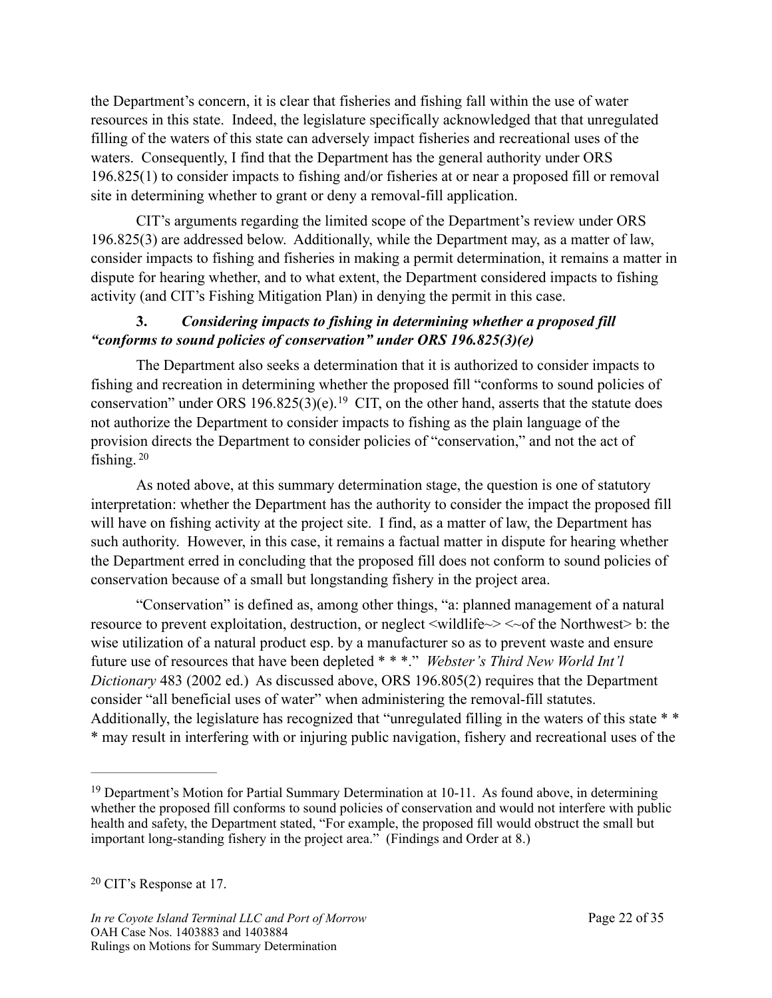the Department's concern, it is clear that fisheries and fishing fall within the use of water resources in this state. Indeed, the legislature specifically acknowledged that that unregulated filling of the waters of this state can adversely impact fisheries and recreational uses of the waters. Consequently, I find that the Department has the general authority under ORS 196.825(1) to consider impacts to fishing and/or fisheries at or near a proposed fill or removal site in determining whether to grant or deny a removal-fill application.

 CIT's arguments regarding the limited scope of the Department's review under ORS 196.825(3) are addressed below. Additionally, while the Department may, as a matter of law, consider impacts to fishing and fisheries in making a permit determination, it remains a matter in dispute for hearing whether, and to what extent, the Department considered impacts to fishing activity (and CIT's Fishing Mitigation Plan) in denying the permit in this case.

### **3.** *Considering impacts to fishing in determining whether a proposed fill "conforms to sound policies of conservation" under ORS 196.825(3)(e)*

<span id="page-21-2"></span> The Department also seeks a determination that it is authorized to consider impacts to fishing and recreation in determining whether the proposed fill "conforms to sound policies of conservation"under ORS [19](#page-21-0)6.825(3)(e).<sup>19</sup> CIT, on the other hand, asserts that the statute does not authorize the Department to consider impacts to fishing as the plain language of the provision directs the Department to consider policies of "conservation," and not the act of fishing. [20](#page-21-1)

<span id="page-21-3"></span> As noted above, at this summary determination stage, the question is one of statutory interpretation: whether the Department has the authority to consider the impact the proposed fill will have on fishing activity at the project site. I find, as a matter of law, the Department has such authority. However, in this case, it remains a factual matter in dispute for hearing whether the Department erred in concluding that the proposed fill does not conform to sound policies of conservation because of a small but longstanding fishery in the project area.

 "Conservation" is defined as, among other things, "a: planned management of a natural resource to prevent exploitation, destruction, or neglect <wildlife~> <~of the Northwest> b: the wise utilization of a natural product esp. by a manufacturer so as to prevent waste and ensure future use of resources that have been depleted \* \* \*." *Webster's Third New World Int'l Dictionary* 483 (2002 ed.) As discussed above, ORS 196.805(2) requires that the Department consider "all beneficial uses of water" when administering the removal-fill statutes. Additionally, the legislature has recognized that "unregulated filling in the waters of this state \* \* \* may result in interfering with or injuring public navigation, fishery and recreational uses of the

<span id="page-21-1"></span><sup>[20](#page-21-3)</sup> CIT's Response at 17.

<span id="page-21-0"></span> $19$  Department's Motion for Partial Summary Determination at 10-11. As found above, in determining whether the proposed fill conforms to sound policies of conservation and would not interfere with public health and safety, the Department stated, "For example, the proposed fill would obstruct the small but important long-standing fishery in the project area." (Findings and Order at 8.)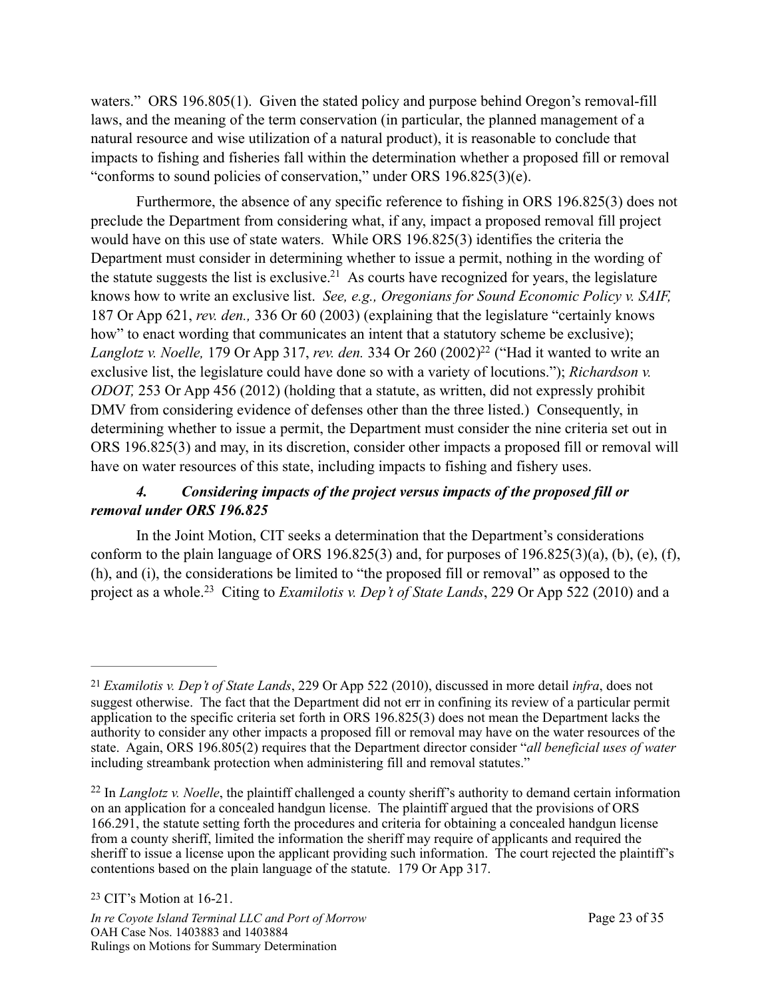waters." ORS 196.805(1). Given the stated policy and purpose behind Oregon's removal-fill laws, and the meaning of the term conservation (in particular, the planned management of a natural resource and wise utilization of a natural product), it is reasonable to conclude that impacts to fishing and fisheries fall within the determination whether a proposed fill or removal "conforms to sound policies of conservation," under ORS 196.825(3)(e).

<span id="page-22-3"></span> Furthermore, the absence of any specific reference to fishing in ORS 196.825(3) does not preclude the Department from considering what, if any, impact a proposed removal fill project would have on this use of state waters. While ORS 196.825(3) identifies the criteria the Department must consider in determining whether to issue a permit, nothing in the wording of the statute suggests the list is exclusive[.](#page-22-0)<sup>[21](#page-22-0)</sup> As courts have recognized for years, the legislature knows how to write an exclusive list. *See, e.g., Oregonians for Sound Economic Policy v. SAIF,*  187 Or App 621, *rev. den.,* 336 Or 60 (2003) (explaining that the legislature "certainly knows how" to enact wording that communicates an intent that a statutory scheme be exclusive); *Langlotz v. Noelle, 179 Or App 317, rev. den. 334 Or 260 (2002[\)](#page-22-1)<sup>[22](#page-22-1)</sup> ("Had it wanted to write an* exclusive list, the legislature could have done so with a variety of locutions."); *Richardson v. ODOT,* 253 Or App 456 (2012) (holding that a statute, as written, did not expressly prohibit DMV from considering evidence of defenses other than the three listed.) Consequently, in determining whether to issue a permit, the Department must consider the nine criteria set out in ORS 196.825(3) and may, in its discretion, consider other impacts a proposed fill or removal will have on water resources of this state, including impacts to fishing and fishery uses.

## <span id="page-22-4"></span> *4. Considering impacts of the project versus impacts of the proposed fill or removal under ORS 196.825*

<span id="page-22-5"></span> In the Joint Motion, CIT seeks a determination that the Department's considerations conform to the plain language of ORS 196.825(3) and, for purposes of  $196.825(3)(a)$ , (b), (e), (f), (h), and (i), the considerations be limited to "the proposed fill or removal" as opposed to the project as a whole.<sup>[23](#page-22-2)</sup> Citing to *Examilotis v. Dep't of State Lands*, 229 Or App 522 (2010) and a

<span id="page-22-0"></span>*Examilotis v. Dep't of State Lands*, 229 Or App 522 (2010), discussed in more detail *infra*, does not [21](#page-22-3) suggest otherwise. The fact that the Department did not err in confining its review of a particular permit application to the specific criteria set forth in ORS 196.825(3) does not mean the Department lacks the authority to consider any other impacts a proposed fill or removal may have on the water resources of the state. Again, ORS 196.805(2) requires that the Department director consider "*all beneficial uses of water* including streambank protection when administering fill and removal statutes."

<span id="page-22-2"></span><span id="page-22-1"></span> $^{22}$  $^{22}$  $^{22}$  In *Langlotz v. Noelle*, the plaintiff challenged a county sheriff's authority to demand certain information on an application for a concealed handgun license. The plaintiff argued that the provisions of ORS 166.291, the statute setting forth the procedures and criteria for obtaining a concealed handgun license from a county sheriff, limited the information the sheriff may require of applicants and required the sheriff to issue a license upon the applicant providing such information. The court rejected the plaintiff's contentions based on the plain language of the statute. 179 Or App 317.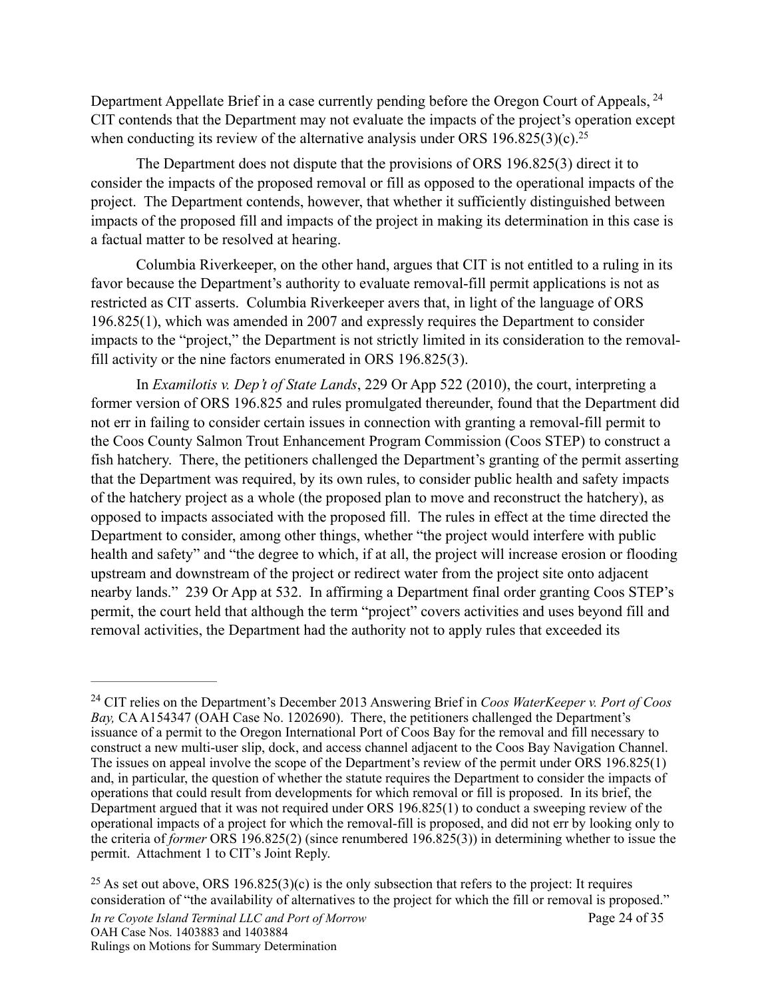<span id="page-23-2"></span>Department Appellate Brief in a case currently pending before the Oregon Court of Appeals, <sup>[24](#page-23-0)</sup> CIT contends that the Department may not evaluate the impacts of the project's operation except when conducting its review of the alternative analysis under ORS 196.825(3)(c).<sup>25</sup>

<span id="page-23-3"></span> The Department does not dispute that the provisions of ORS 196.825(3) direct it to consider the impacts of the proposed removal or fill as opposed to the operational impacts of the project. The Department contends, however, that whether it sufficiently distinguished between impacts of the proposed fill and impacts of the project in making its determination in this case is a factual matter to be resolved at hearing.

Columbia Riverkeeper, on the other hand, argues that CIT is not entitled to a ruling in its favor because the Department's authority to evaluate removal-fill permit applications is not as restricted as CIT asserts. Columbia Riverkeeper avers that, in light of the language of ORS 196.825(1), which was amended in 2007 and expressly requires the Department to consider impacts to the "project," the Department is not strictly limited in its consideration to the removalfill activity or the nine factors enumerated in ORS 196.825(3).

 In *Examilotis v. Dep't of State Lands*, 229 Or App 522 (2010), the court, interpreting a former version of ORS 196.825 and rules promulgated thereunder, found that the Department did not err in failing to consider certain issues in connection with granting a removal-fill permit to the Coos County Salmon Trout Enhancement Program Commission (Coos STEP) to construct a fish hatchery. There, the petitioners challenged the Department's granting of the permit asserting that the Department was required, by its own rules, to consider public health and safety impacts of the hatchery project as a whole (the proposed plan to move and reconstruct the hatchery), as opposed to impacts associated with the proposed fill. The rules in effect at the time directed the Department to consider, among other things, whether "the project would interfere with public health and safety" and "the degree to which, if at all, the project will increase erosion or flooding upstream and downstream of the project or redirect water from the project site onto adjacent nearby lands." 239 Or App at 532. In affirming a Department final order granting Coos STEP's permit, the court held that although the term "project" covers activities and uses beyond fill and removal activities, the Department had the authority not to apply rules that exceeded its

<span id="page-23-0"></span>CIT relies on the Department's December 2013 Answering Brief in *Coos WaterKeeper v. Port of Coos* [24](#page-23-2) *Bay, CA A154347 (OAH Case No. 1202690). There, the petitioners challenged the Department's* issuance of a permit to the Oregon International Port of Coos Bay for the removal and fill necessary to construct a new multi-user slip, dock, and access channel adjacent to the Coos Bay Navigation Channel. The issues on appeal involve the scope of the Department's review of the permit under ORS 196.825(1) and, in particular, the question of whether the statute requires the Department to consider the impacts of operations that could result from developments for which removal or fill is proposed. In its brief, the Department argued that it was not required under ORS 196.825(1) to conduct a sweeping review of the operational impacts of a project for which the removal-fill is proposed, and did not err by looking only to the criteria of *former* ORS 196.825(2) (since renumbered 196.825(3)) in determining whether to issue the permit. Attachment 1 to CIT's Joint Reply.

<span id="page-23-1"></span><sup>&</sup>lt;sup>[25](#page-23-3)</sup> As set out above, ORS 196.825(3)(c) is the only subsection that refers to the project: It requires consideration of "the availability of alternatives to the project for which the fill or removal is proposed."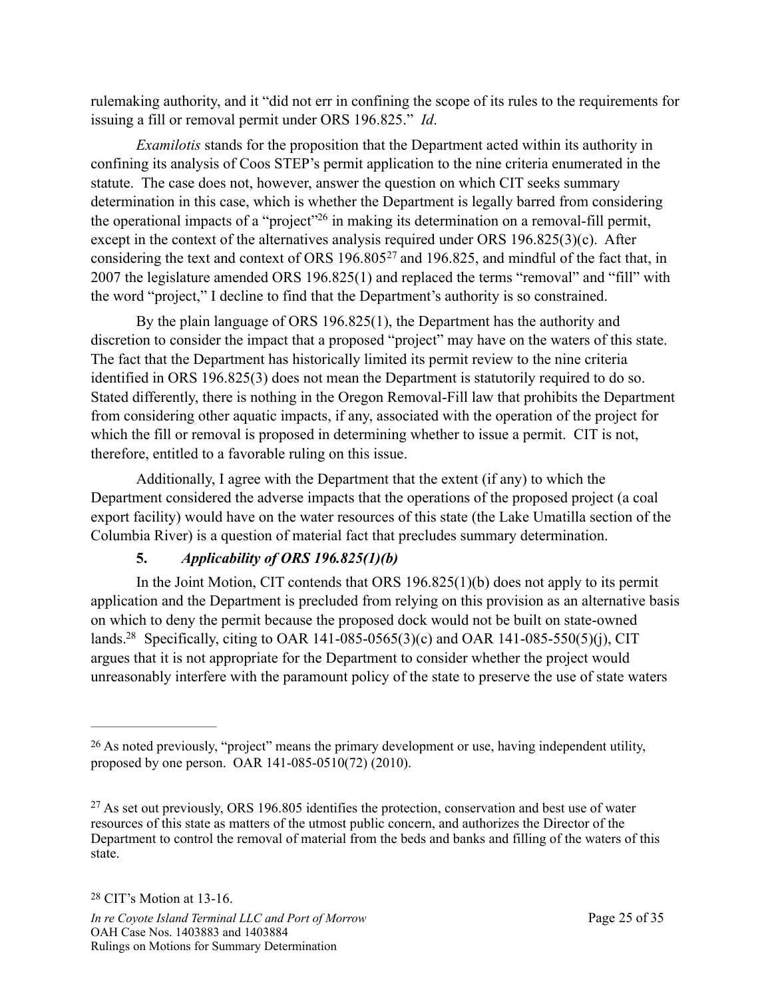rulemaking authority, and it "did not err in confining the scope of its rules to the requirements for issuing a fill or removal permit under ORS 196.825." *Id*.

<span id="page-24-3"></span>*Examilotis* stands for the proposition that the Department acted within its authority in confining its analysis of Coos STEP's permit application to the nine criteria enumerated in the statute. The case does not, however, answer the question on which CIT seeks summary determination in this case, which is whether the Department is legally barred from considering the operational impacts of a ["](#page-24-0)project"<sup>[26](#page-24-0)</sup> in making its determination on a removal-fill permit, except in the context of the alternatives analysis required under ORS 196.825(3)(c). After consideringthe text and context of ORS  $196.805^{27}$  $196.805^{27}$  $196.805^{27}$  and  $196.825$ , and mindful of the fact that, in 2007 the legislature amended ORS 196.825(1) and replaced the terms "removal" and "fill" with the word "project," I decline to find that the Department's authority is so constrained.

<span id="page-24-4"></span> By the plain language of ORS 196.825(1), the Department has the authority and discretion to consider the impact that a proposed "project" may have on the waters of this state. The fact that the Department has historically limited its permit review to the nine criteria identified in ORS 196.825(3) does not mean the Department is statutorily required to do so. Stated differently, there is nothing in the Oregon Removal-Fill law that prohibits the Department from considering other aquatic impacts, if any, associated with the operation of the project for which the fill or removal is proposed in determining whether to issue a permit. CIT is not, therefore, entitled to a favorable ruling on this issue.

 Additionally, I agree with the Department that the extent (if any) to which the Department considered the adverse impacts that the operations of the proposed project (a coal export facility) would have on the water resources of this state (the Lake Umatilla section of the Columbia River) is a question of material fact that precludes summary determination.

## **5.** *Applicability of ORS 196.825(1)(b)*

<span id="page-24-5"></span> In the Joint Motion, CIT contends that ORS 196.825(1)(b) does not apply to its permit application and the Department is precluded from relying on this provision as an alternative basis on which to deny the permit because the proposed dock would not be built on state-owned lands[.](#page-24-2)<sup>[28](#page-24-2)</sup> Specifically, citing to OAR 141-085-0565(3)(c) and OAR 141-085-550(5)(j), CIT argues that it is not appropriate for the Department to consider whether the project would unreasonably interfere with the paramount policy of the state to preserve the use of state waters

<span id="page-24-0"></span><sup>&</sup>lt;sup>[26](#page-24-3)</sup> As noted previously, "project" means the primary development or use, having independent utility, proposed by one person. OAR 141-085-0510(72) (2010).

<span id="page-24-2"></span><span id="page-24-1"></span> $27$  As set out previously, ORS 196.805 identifies the protection, conservation and best use of water resources of this state as matters of the utmost public concern, and authorizes the Director of the Department to control the removal of material from the beds and banks and filling of the waters of this state.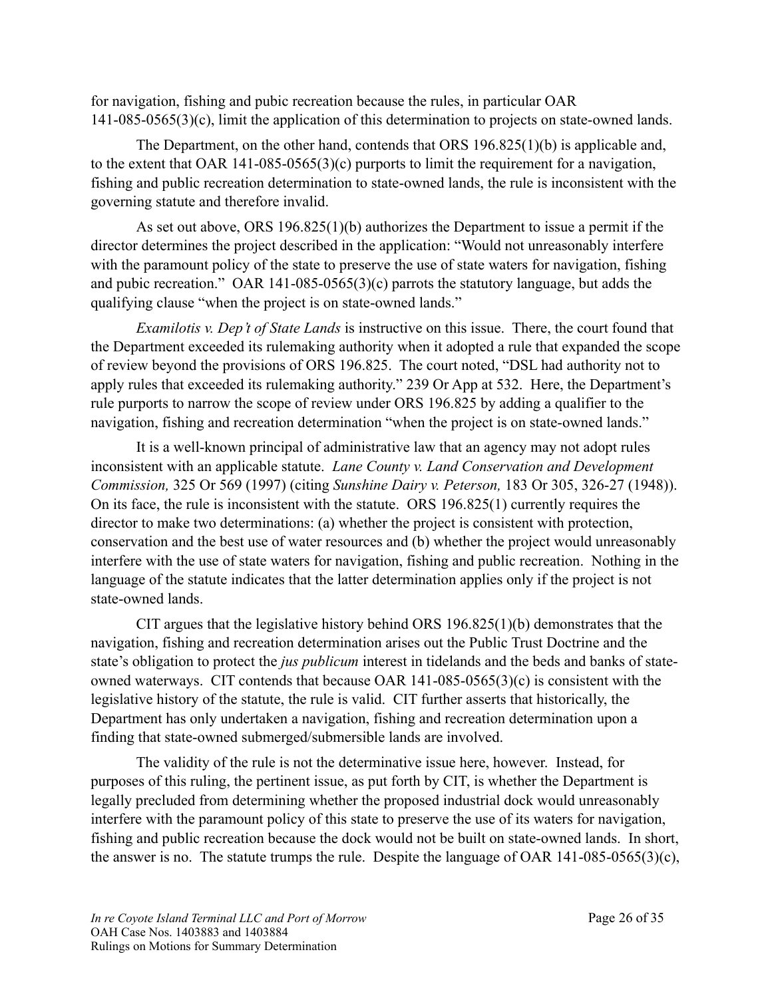for navigation, fishing and pubic recreation because the rules, in particular OAR 141-085-0565(3)(c), limit the application of this determination to projects on state-owned lands.

 The Department, on the other hand, contends that ORS 196.825(1)(b) is applicable and, to the extent that OAR 141-085-0565(3)(c) purports to limit the requirement for a navigation, fishing and public recreation determination to state-owned lands, the rule is inconsistent with the governing statute and therefore invalid.

 As set out above, ORS 196.825(1)(b) authorizes the Department to issue a permit if the director determines the project described in the application: "Would not unreasonably interfere with the paramount policy of the state to preserve the use of state waters for navigation, fishing and pubic recreation." OAR 141-085-0565(3)(c) parrots the statutory language, but adds the qualifying clause "when the project is on state-owned lands."

*Examilotis v. Dep't of State Lands* is instructive on this issue. There, the court found that the Department exceeded its rulemaking authority when it adopted a rule that expanded the scope of review beyond the provisions of ORS 196.825. The court noted, "DSL had authority not to apply rules that exceeded its rulemaking authority." 239 Or App at 532. Here, the Department's rule purports to narrow the scope of review under ORS 196.825 by adding a qualifier to the navigation, fishing and recreation determination "when the project is on state-owned lands."

It is a well-known principal of administrative law that an agency may not adopt rules inconsistent with an applicable statute. *Lane County v. Land Conservation and Development Commission,* 325 Or 569 (1997) (citing *Sunshine Dairy v. Peterson,* 183 Or 305, 326-27 (1948)). On its face, the rule is inconsistent with the statute. ORS 196.825(1) currently requires the director to make two determinations: (a) whether the project is consistent with protection, conservation and the best use of water resources and (b) whether the project would unreasonably interfere with the use of state waters for navigation, fishing and public recreation. Nothing in the language of the statute indicates that the latter determination applies only if the project is not state-owned lands.

CIT argues that the legislative history behind ORS 196.825(1)(b) demonstrates that the navigation, fishing and recreation determination arises out the Public Trust Doctrine and the state's obligation to protect the *jus publicum* interest in tidelands and the beds and banks of stateowned waterways. CIT contends that because OAR 141-085-0565(3)(c) is consistent with the legislative history of the statute, the rule is valid. CIT further asserts that historically, the Department has only undertaken a navigation, fishing and recreation determination upon a finding that state-owned submerged/submersible lands are involved.

The validity of the rule is not the determinative issue here, however. Instead, for purposes of this ruling, the pertinent issue, as put forth by CIT, is whether the Department is legally precluded from determining whether the proposed industrial dock would unreasonably interfere with the paramount policy of this state to preserve the use of its waters for navigation, fishing and public recreation because the dock would not be built on state-owned lands. In short, the answer is no. The statute trumps the rule. Despite the language of OAR 141-085-0565(3)(c),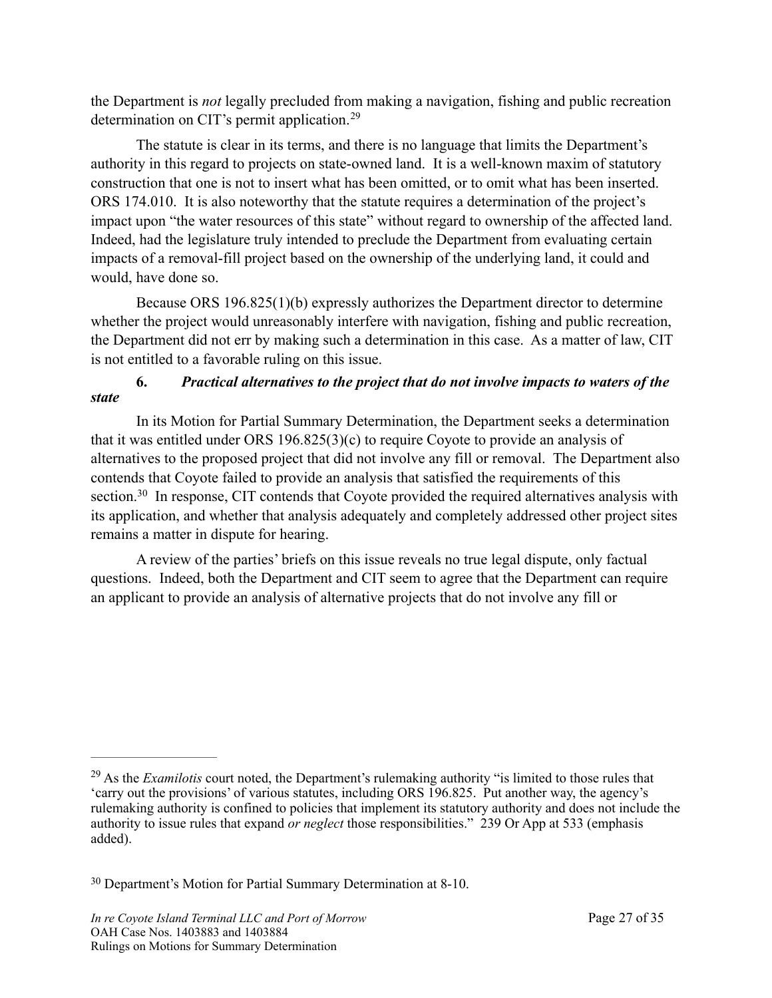the Department is *not* legally precluded from making a navigation, fishing and public recreation determination on CIT's permit application. [29](#page-26-0)

<span id="page-26-2"></span>The statute is clear in its terms, and there is no language that limits the Department's authority in this regard to projects on state-owned land. It is a well-known maxim of statutory construction that one is not to insert what has been omitted, or to omit what has been inserted. ORS 174.010. It is also noteworthy that the statute requires a determination of the project's impact upon "the water resources of this state" without regard to ownership of the affected land. Indeed, had the legislature truly intended to preclude the Department from evaluating certain impacts of a removal-fill project based on the ownership of the underlying land, it could and would, have done so.

Because ORS 196.825(1)(b) expressly authorizes the Department director to determine whether the project would unreasonably interfere with navigation, fishing and public recreation, the Department did not err by making such a determination in this case. As a matter of law, CIT is not entitled to a favorable ruling on this issue.

### **6.** *Practical alternatives to the project that do not involve impacts to waters of the state*

 In its Motion for Partial Summary Determination, the Department seeks a determination that it was entitled under ORS 196.825(3)(c) to require Coyote to provide an analysis of alternatives to the proposed project that did not involve any fill or removal. The Department also contends that Coyote failed to provide an analysis that satisfied the requirements of this section.<sup>30</sup>In response, CIT contends that Coyote provided the required alternatives analysis with its application, and whether that analysis adequately and completely addressed other project sites remains a matter in dispute for hearing.

<span id="page-26-3"></span>A review of the parties' briefs on this issue reveals no true legal dispute, only factual questions. Indeed, both the Department and CIT seem to agree that the Department can require an applicant to provide an analysis of alternative projects that do not involve any fill or

<span id="page-26-0"></span><sup>&</sup>lt;sup>[29](#page-26-2)</sup> As the *Examilotis* court noted, the Department's rulemaking authority "is limited to those rules that 'carry out the provisions' of various statutes, including ORS 196.825. Put another way, the agency's rulemaking authority is confined to policies that implement its statutory authority and does not include the authority to issue rules that expand *or neglect* those responsibilities." 239 Or App at 533 (emphasis added).

<span id="page-26-1"></span><sup>&</sup>lt;sup>[30](#page-26-3)</sup> Department's Motion for Partial Summary Determination at 8-10.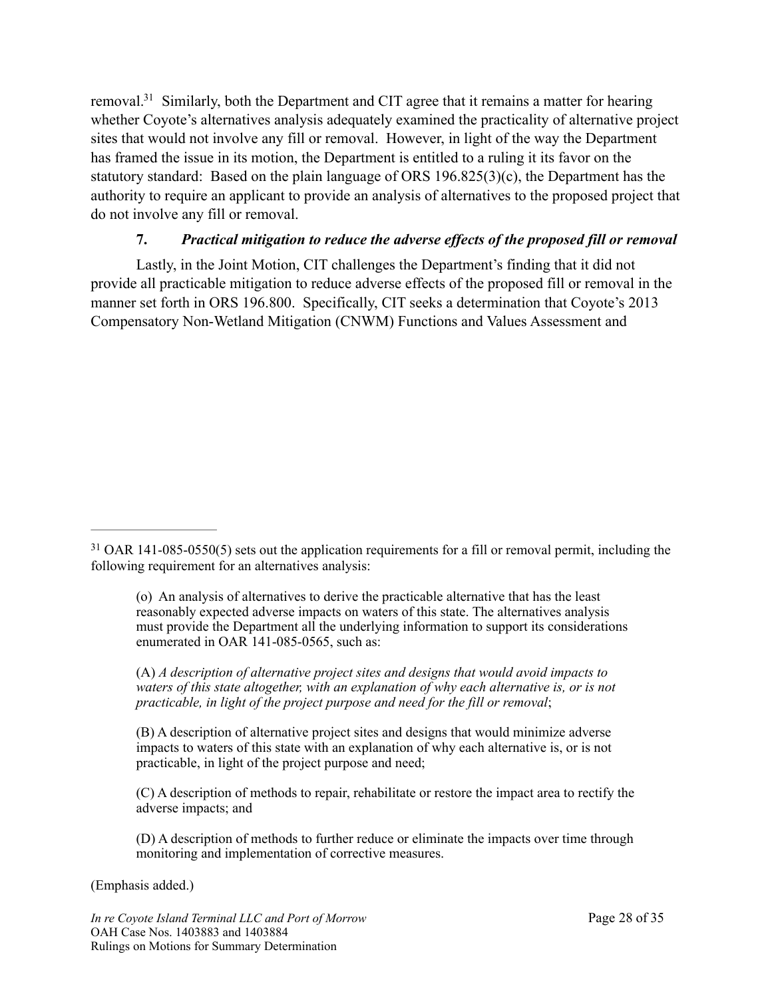<span id="page-27-1"></span>removal[.](#page-27-0)<sup>[31](#page-27-0)</sup> Similarly, both the Department and CIT agree that it remains a matter for hearing whether Coyote's alternatives analysis adequately examined the practicality of alternative project sites that would not involve any fill or removal. However, in light of the way the Department has framed the issue in its motion, the Department is entitled to a ruling it its favor on the statutory standard: Based on the plain language of ORS 196.825(3)(c), the Department has the authority to require an applicant to provide an analysis of alternatives to the proposed project that do not involve any fill or removal.

### **7.** *Practical mitigation to reduce the adverse effects of the proposed fill or removal*

 Lastly, in the Joint Motion, CIT challenges the Department's finding that it did not provide all practicable mitigation to reduce adverse effects of the proposed fill or removal in the manner set forth in ORS 196.800. Specifically, CIT seeks a determination that Coyote's 2013 Compensatory Non-Wetland Mitigation (CNWM) Functions and Values Assessment and

(o) An analysis of alternatives to derive the practicable alternative that has the least reasonably expected adverse impacts on waters of this state. The alternatives analysis must provide the Department all the underlying information to support its considerations enumerated in OAR 141-085-0565, such as:

(A) *A description of alternative project sites and designs that would avoid impacts to waters of this state altogether, with an explanation of why each alternative is, or is not practicable, in light of the project purpose and need for the fill or removal*;

(B) A description of alternative project sites and designs that would minimize adverse impacts to waters of this state with an explanation of why each alternative is, or is not practicable, in light of the project purpose and need;

(C) A description of methods to repair, rehabilitate or restore the impact area to rectify the adverse impacts; and

(D) A description of methods to further reduce or eliminate the impacts over time through monitoring and implementation of corrective measures.

(Emphasis added.)

*In re Coyote Island Terminal LLC and Port of Morrow* Page 28 of 35 OAH Case Nos. 1403883 and 1403884 Rulings on Motions for Summary Determination

<span id="page-27-0"></span><sup>&</sup>lt;sup>[31](#page-27-1)</sup> OAR 141-085-0550(5) sets out the application requirements for a fill or removal permit, including the following requirement for an alternatives analysis: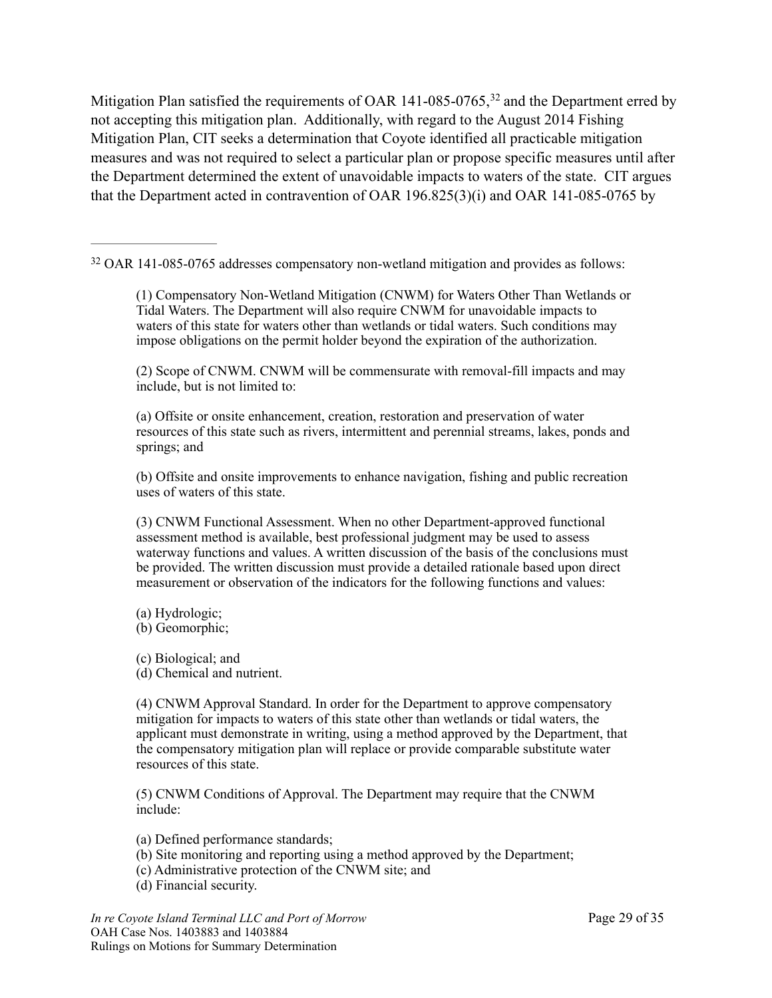<span id="page-28-1"></span>MitigationPlan satisfied the requirements of OAR 141-085-0765,  $32$  and the Department erred by not accepting this mitigation plan. Additionally, with regard to the August 2014 Fishing Mitigation Plan, CIT seeks a determination that Coyote identified all practicable mitigation measures and was not required to select a particular plan or propose specific measures until after the Department determined the extent of unavoidable impacts to waters of the state. CIT argues that the Department acted in contravention of OAR 196.825(3)(i) and OAR 141-085-0765 by

<span id="page-28-0"></span><sup>[32](#page-28-1)</sup> OAR 141-085-0765 addresses compensatory non-wetland mitigation and provides as follows:

(1) Compensatory Non-Wetland Mitigation (CNWM) for Waters Other Than Wetlands or Tidal Waters. The Department will also require CNWM for unavoidable impacts to waters of this state for waters other than wetlands or tidal waters. Such conditions may impose obligations on the permit holder beyond the expiration of the authorization.

(2) Scope of CNWM. CNWM will be commensurate with removal-fill impacts and may include, but is not limited to:

(a) Offsite or onsite enhancement, creation, restoration and preservation of water resources of this state such as rivers, intermittent and perennial streams, lakes, ponds and springs; and

(b) Offsite and onsite improvements to enhance navigation, fishing and public recreation uses of waters of this state.

(3) CNWM Functional Assessment. When no other Department-approved functional assessment method is available, best professional judgment may be used to assess waterway functions and values. A written discussion of the basis of the conclusions must be provided. The written discussion must provide a detailed rationale based upon direct measurement or observation of the indicators for the following functions and values:

(a) Hydrologic;

(b) Geomorphic;

(c) Biological; and (d) Chemical and nutrient.

(4) CNWM Approval Standard. In order for the Department to approve compensatory mitigation for impacts to waters of this state other than wetlands or tidal waters, the applicant must demonstrate in writing, using a method approved by the Department, that the compensatory mitigation plan will replace or provide comparable substitute water resources of this state.

(5) CNWM Conditions of Approval. The Department may require that the CNWM include:

(a) Defined performance standards;

(b) Site monitoring and reporting using a method approved by the Department;

(c) Administrative protection of the CNWM site; and

(d) Financial security.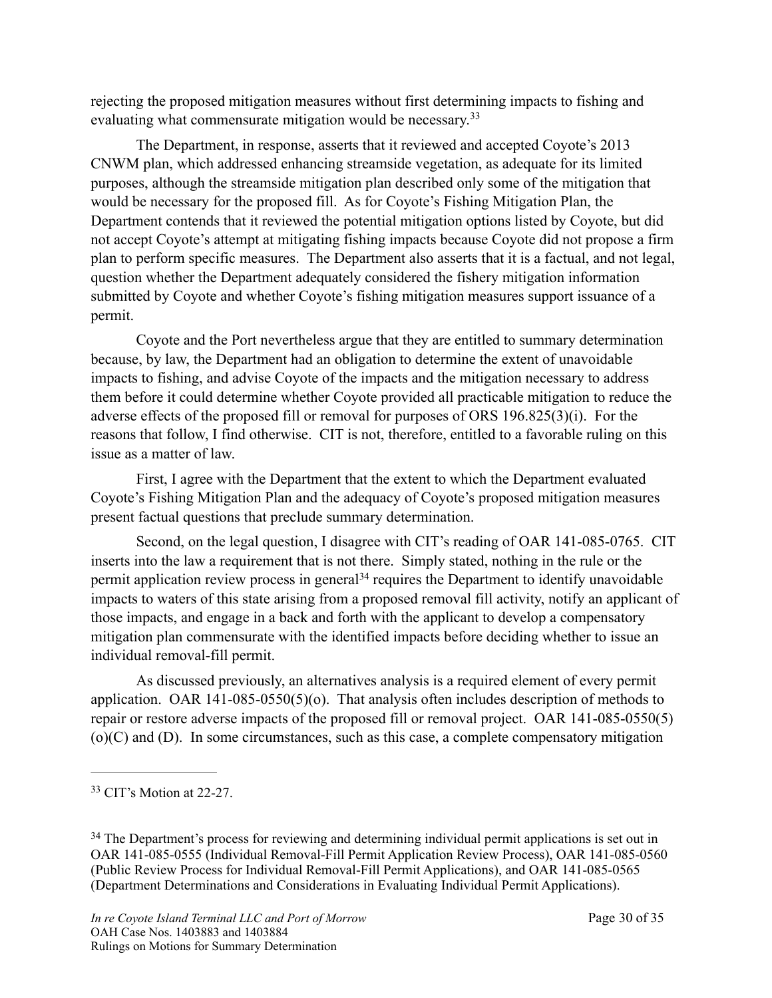rejecting the proposed mitigation measures without first determining impacts to fishing and evaluating what commensurate mitigation would be necessary.<sup>33</sup>

<span id="page-29-2"></span> The Department, in response, asserts that it reviewed and accepted Coyote's 2013 CNWM plan, which addressed enhancing streamside vegetation, as adequate for its limited purposes, although the streamside mitigation plan described only some of the mitigation that would be necessary for the proposed fill. As for Coyote's Fishing Mitigation Plan, the Department contends that it reviewed the potential mitigation options listed by Coyote, but did not accept Coyote's attempt at mitigating fishing impacts because Coyote did not propose a firm plan to perform specific measures. The Department also asserts that it is a factual, and not legal, question whether the Department adequately considered the fishery mitigation information submitted by Coyote and whether Coyote's fishing mitigation measures support issuance of a permit.

 Coyote and the Port nevertheless argue that they are entitled to summary determination because, by law, the Department had an obligation to determine the extent of unavoidable impacts to fishing, and advise Coyote of the impacts and the mitigation necessary to address them before it could determine whether Coyote provided all practicable mitigation to reduce the adverse effects of the proposed fill or removal for purposes of ORS 196.825(3)(i). For the reasons that follow, I find otherwise. CIT is not, therefore, entitled to a favorable ruling on this issue as a matter of law.

 First, I agree with the Department that the extent to which the Department evaluated Coyote's Fishing Mitigation Plan and the adequacy of Coyote's proposed mitigation measures present factual questions that preclude summary determination.

<span id="page-29-3"></span> Second, on the legal question, I disagree with CIT's reading of OAR 141-085-0765. CIT inserts into the law a requirement that is not there. Simply stated, nothing in the rule or the permitapplication review process in general<sup>[34](#page-29-1)</sup> requires the Department to identify unavoidable impacts to waters of this state arising from a proposed removal fill activity, notify an applicant of those impacts, and engage in a back and forth with the applicant to develop a compensatory mitigation plan commensurate with the identified impacts before deciding whether to issue an individual removal-fill permit.

 As discussed previously, an alternatives analysis is a required element of every permit application. OAR 141-085-0550(5)(o). That analysis often includes description of methods to repair or restore adverse impacts of the proposed fill or removal project. OAR 141-085-0550(5) (o)(C) and (D). In some circumstances, such as this case, a complete compensatory mitigation

<span id="page-29-0"></span> $33$  CIT's Motion at 22-27.

<span id="page-29-1"></span><sup>&</sup>lt;sup>[34](#page-29-3)</sup> The Department's process for reviewing and determining individual permit applications is set out in OAR 141-085-0555 (Individual Removal-Fill Permit Application Review Process), OAR 141-085-0560 (Public Review Process for Individual Removal-Fill Permit Applications), and OAR 141-085-0565 (Department Determinations and Considerations in Evaluating Individual Permit Applications).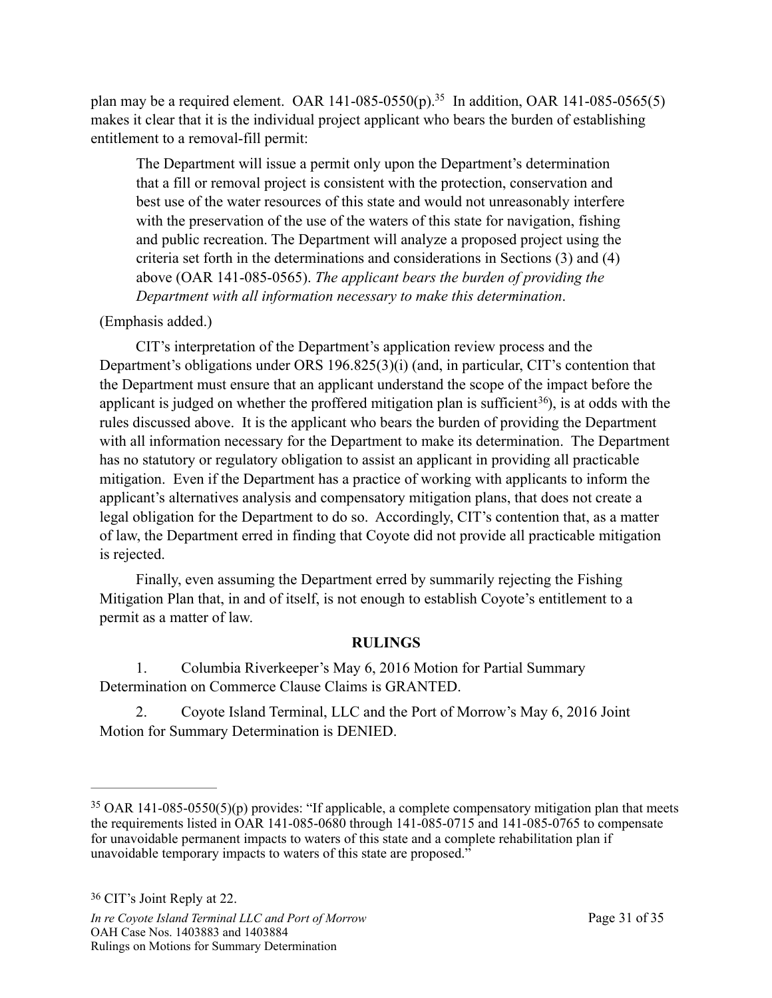plan may be a required element[.](#page-30-0) OAR 141-085-0550(p).<sup>[35](#page-30-0)</sup> In addition, OAR 141-085-0565(5) makes it clear that it is the individual project applicant who bears the burden of establishing entitlement to a removal-fill permit:

<span id="page-30-2"></span>The Department will issue a permit only upon the Department's determination that a fill or removal project is consistent with the protection, conservation and best use of the water resources of this state and would not unreasonably interfere with the preservation of the use of the waters of this state for navigation, fishing and public recreation. The Department will analyze a proposed project using the criteria set forth in the determinations and considerations in Sections (3) and (4) above (OAR 141-085-0565). *The applicant bears the burden of providing the Department with all information necessary to make this determination*.

### (Emphasis added.)

 CIT's interpretation of the Department's application review process and the Department's obligations under ORS 196.825(3)(i) (and, in particular, CIT's contention that the Department must ensure that an applicant understand the scope of the impact before the applicant is judged on whether the proffered mitigation plan is sufficient<sup>36</sup>[\)](#page-30-1), is at odds with the rules discussed above. It is the applicant who bears the burden of providing the Department with all information necessary for the Department to make its determination. The Department has no statutory or regulatory obligation to assist an applicant in providing all practicable mitigation. Even if the Department has a practice of working with applicants to inform the applicant's alternatives analysis and compensatory mitigation plans, that does not create a legal obligation for the Department to do so. Accordingly, CIT's contention that, as a matter of law, the Department erred in finding that Coyote did not provide all practicable mitigation is rejected.

 Finally, even assuming the Department erred by summarily rejecting the Fishing Mitigation Plan that, in and of itself, is not enough to establish Coyote's entitlement to a permit as a matter of law.

## <span id="page-30-3"></span>**RULINGS**

 1. Columbia Riverkeeper's May 6, 2016 Motion for Partial Summary Determination on Commerce Clause Claims is GRANTED.

 2. Coyote Island Terminal, LLC and the Port of Morrow's May 6, 2016 Joint Motion for Summary Determination is DENIED.

<span id="page-30-1"></span><span id="page-30-0"></span> $35$  OAR 141-085-0550(5)(p) provides: "If applicable, a complete compensatory mitigation plan that meets the requirements listed in OAR 141-085-0680 through 141-085-0715 and 141-085-0765 to compensate for unavoidable permanent impacts to waters of this state and a complete rehabilitation plan if unavoidable temporary impacts to waters of this state are proposed."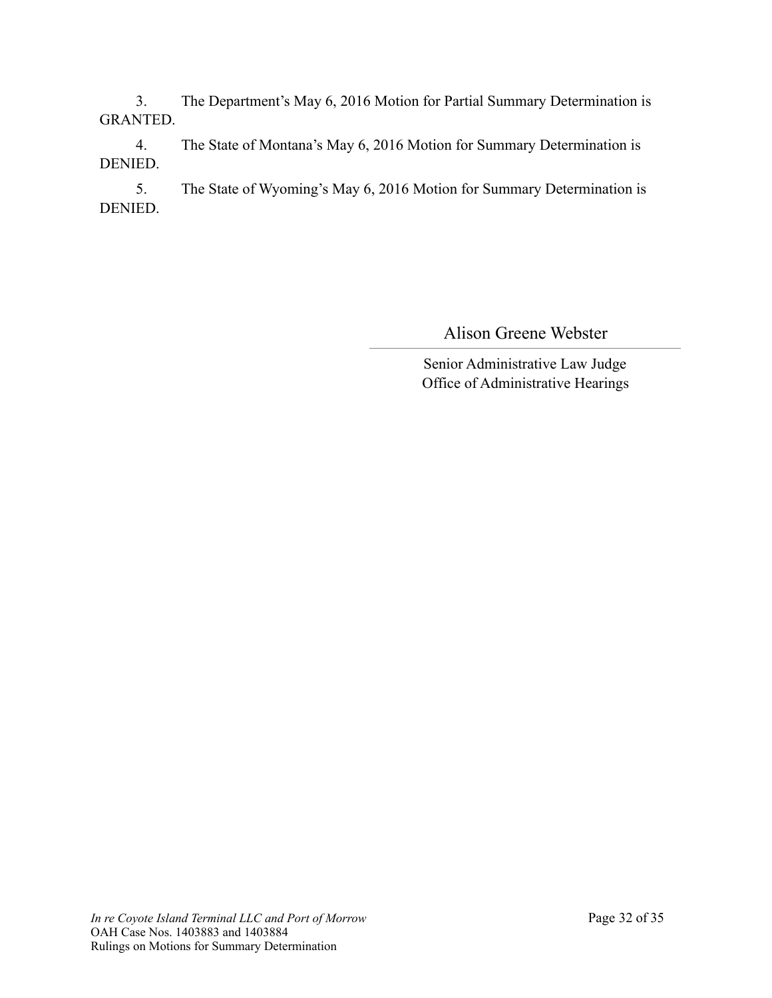3. The Department's May 6, 2016 Motion for Partial Summary Determination is GRANTED.

 4. The State of Montana's May 6, 2016 Motion for Summary Determination is DENIED.

 5. The State of Wyoming's May 6, 2016 Motion for Summary Determination is DENIED.

Alison Greene Webster

Senior Administrative Law Judge Office of Administrative Hearings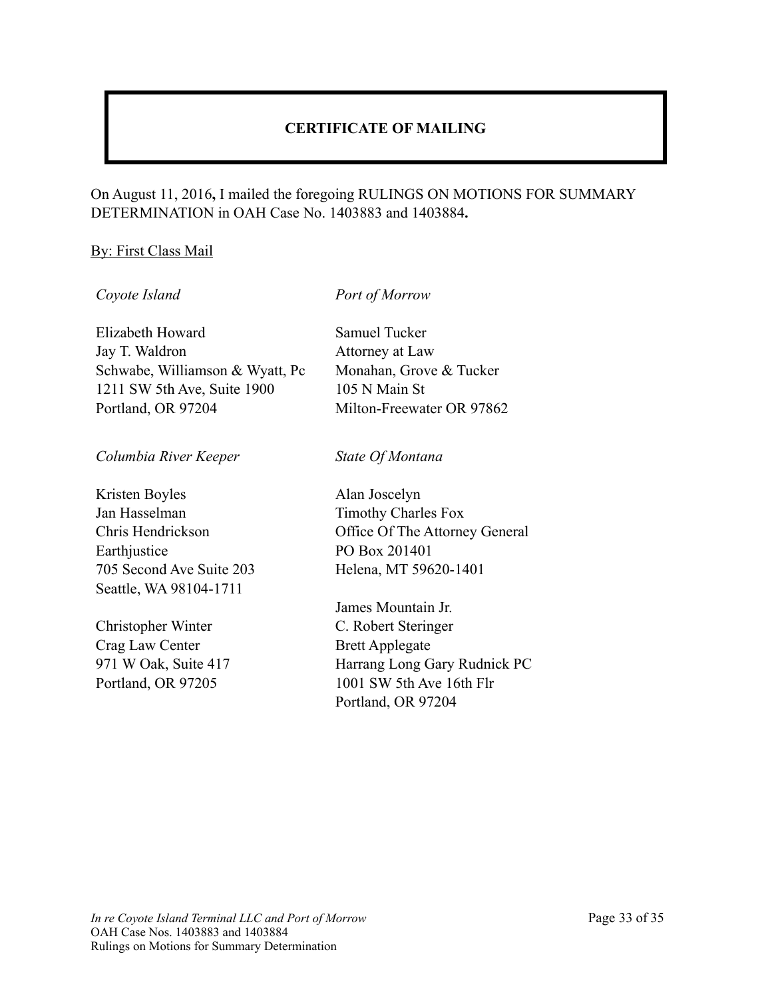## **CERTIFICATE OF MAILING**

#### On August 11, 2016**,** I mailed the foregoing RULINGS ON MOTIONS FOR SUMMARY DETERMINATION in OAH Case No. 1403883 and 1403884**.**

#### By: First Class Mail

#### *Coyote Island*

*Port of Morrow*

Elizabeth Howard Jay T. Waldron Schwabe, Williamson & Wyatt, Pc 1211 SW 5th Ave, Suite 1900 Portland, OR 97204

*Columbia River Keeper*

Kristen Boyles Jan Hasselman Chris Hendrickson **Earthjustice** 705 Second Ave Suite 203 Seattle, WA 98104-1711

Christopher Winter Crag Law Center 971 W Oak, Suite 417 Portland, OR 97205

Samuel Tucker Attorney at Law Monahan, Grove & Tucker 105 N Main St Milton-Freewater OR 97862

*State Of Montana*

Alan Joscelyn Timothy Charles Fox Office Of The Attorney General PO Box 201401 Helena, MT 59620-1401

James Mountain Jr. C. Robert Steringer Brett Applegate Harrang Long Gary Rudnick PC 1001 SW 5th Ave 16th Flr Portland, OR 97204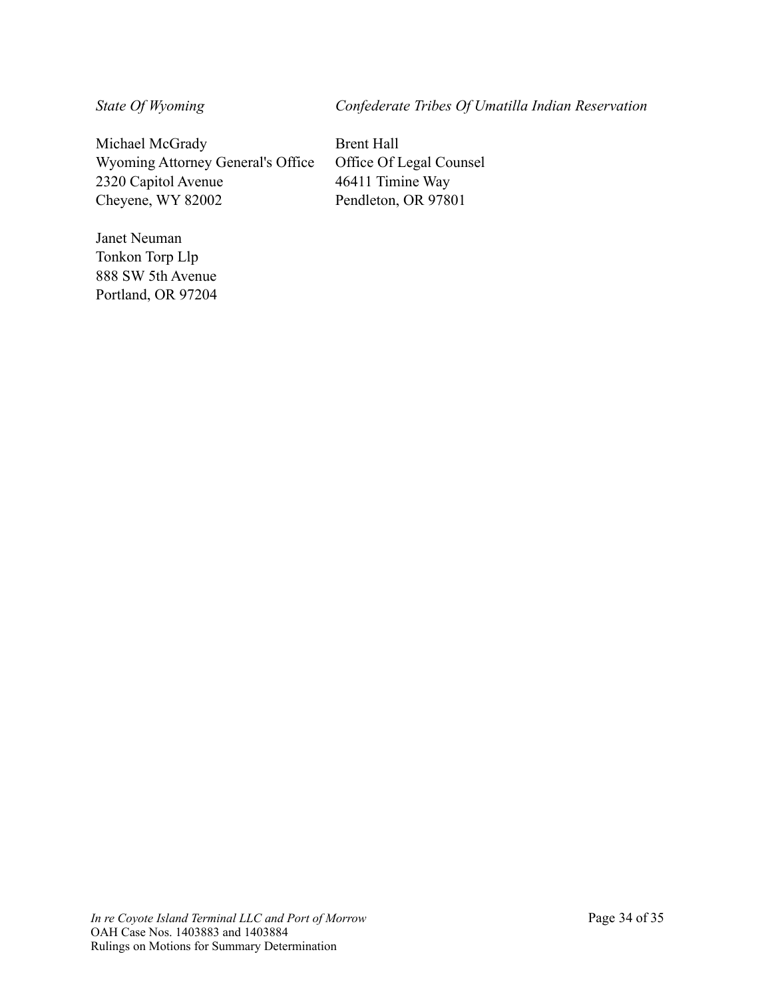*State Of Wyoming*

*Confederate Tribes Of Umatilla Indian Reservation*

Michael McGrady Wyoming Attorney General's Office 2320 Capitol Avenue Cheyene, WY 82002

Janet Neuman Tonkon Torp Llp 888 SW 5th Avenue Portland, OR 97204 Brent Hall Office Of Legal Counsel 46411 Timine Way Pendleton, OR 97801